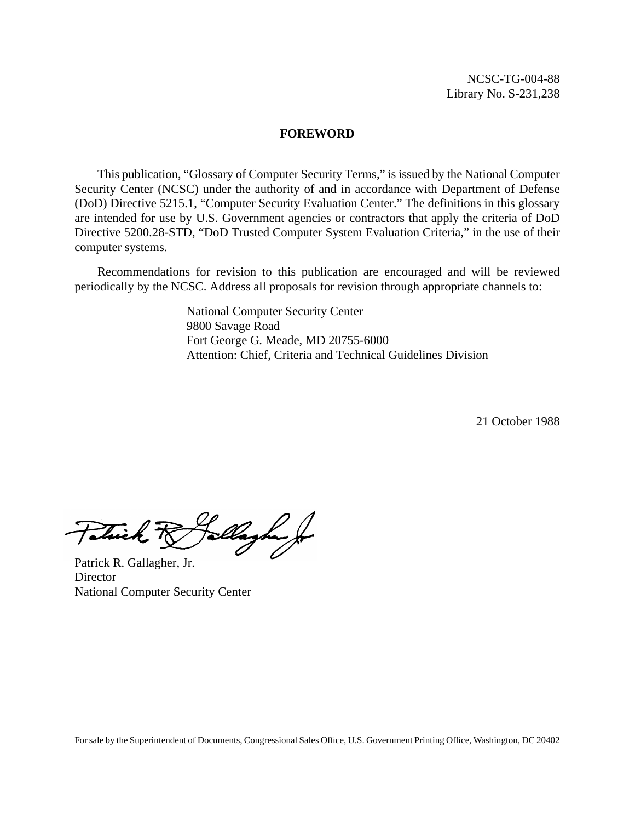NCSC-TG-004-88 Library No. S-231,238

### **FOREWORD**

This publication, "Glossary of Computer Security Terms," is issued by the National Computer Security Center (NCSC) under the authority of and in accordance with Department of Defense (DoD) Directive 5215.1, "Computer Security Evaluation Center." The definitions in this glossary are intended for use by U.S. Government agencies or contractors that apply the criteria of DoD Directive 5200.28-STD, "DoD Trusted Computer System Evaluation Criteria," in the use of their computer systems.

Recommendations for revision to this publication are encouraged and will be reviewed periodically by the NCSC. Address all proposals for revision through appropriate channels to:

> National Computer Security Center 9800 Savage Road Fort George G. Meade, MD 20755-6000 Attention: Chief, Criteria and Technical Guidelines Division

> > 21 October 1988

Hallagher for Falsick 78

Patrick R. Gallagher, Jr. **Director** National Computer Security Center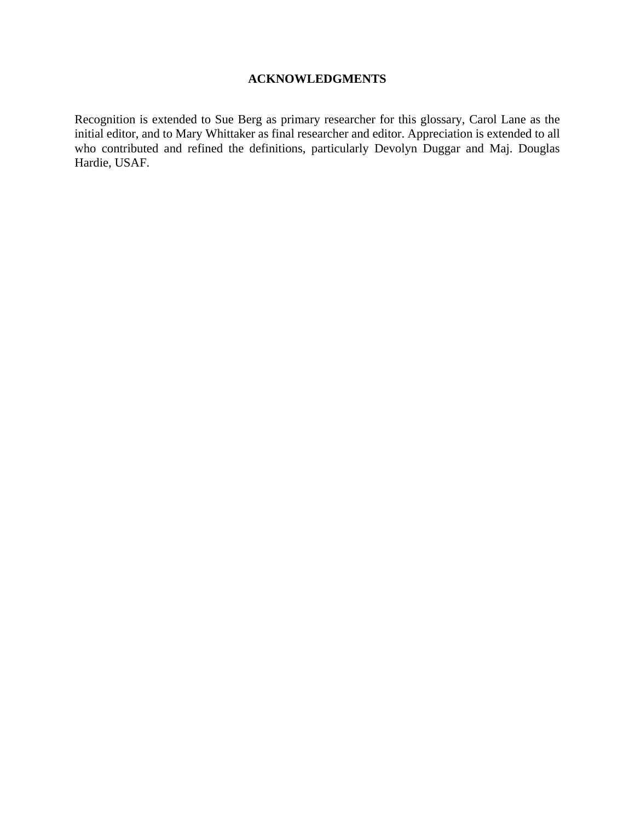## **ACKNOWLEDGMENTS**

Recognition is extended to Sue Berg as primary researcher for this glossary, Carol Lane as the initial editor, and to Mary Whittaker as final researcher and editor. Appreciation is extended to all who contributed and refined the definitions, particularly Devolyn Duggar and Maj. Douglas Hardie, USAF.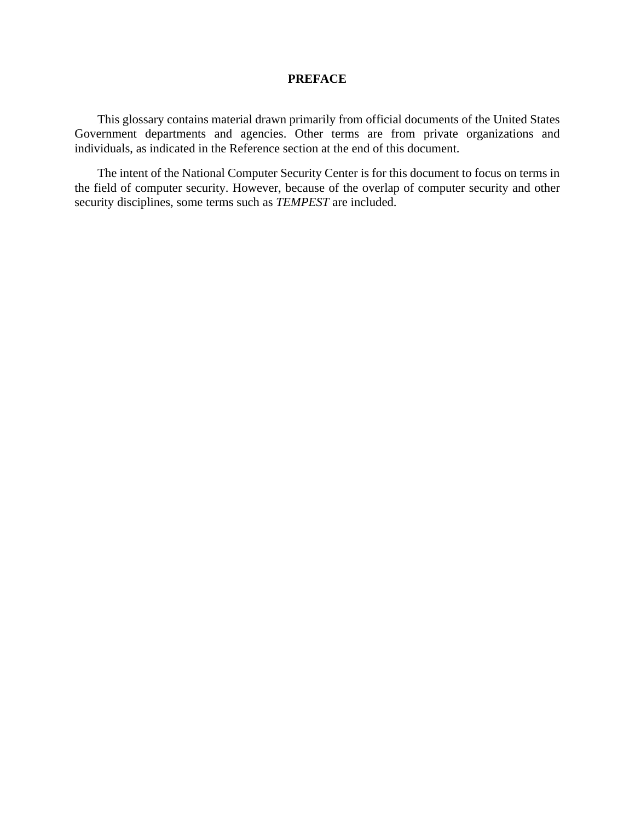### **PREFACE**

This glossary contains material drawn primarily from official documents of the United States Government departments and agencies. Other terms are from private organizations and individuals, as indicated in the Reference section at the end of this document.

The intent of the National Computer Security Center is for this document to focus on terms in the field of computer security. However, because of the overlap of computer security and other security disciplines, some terms such as *TEMPEST* are included.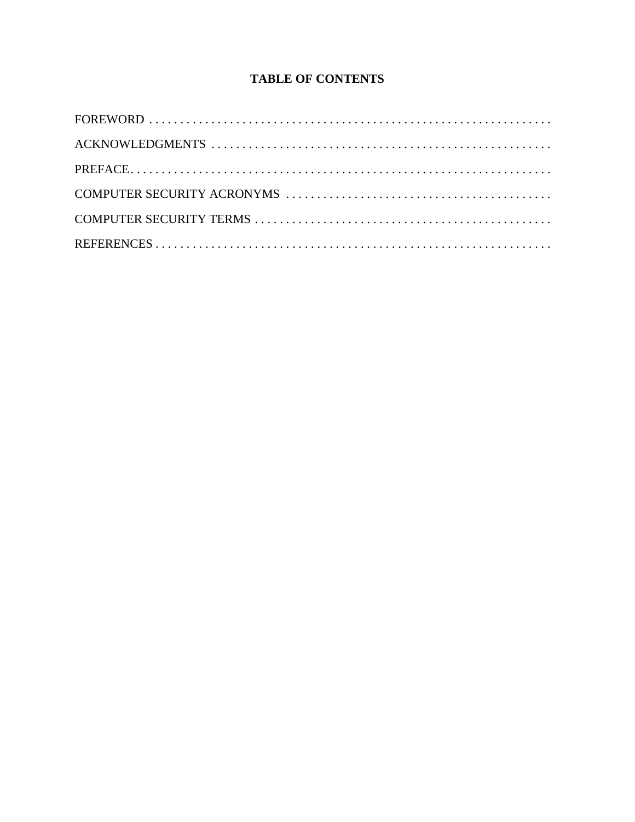# **TABLE OF CONTENTS**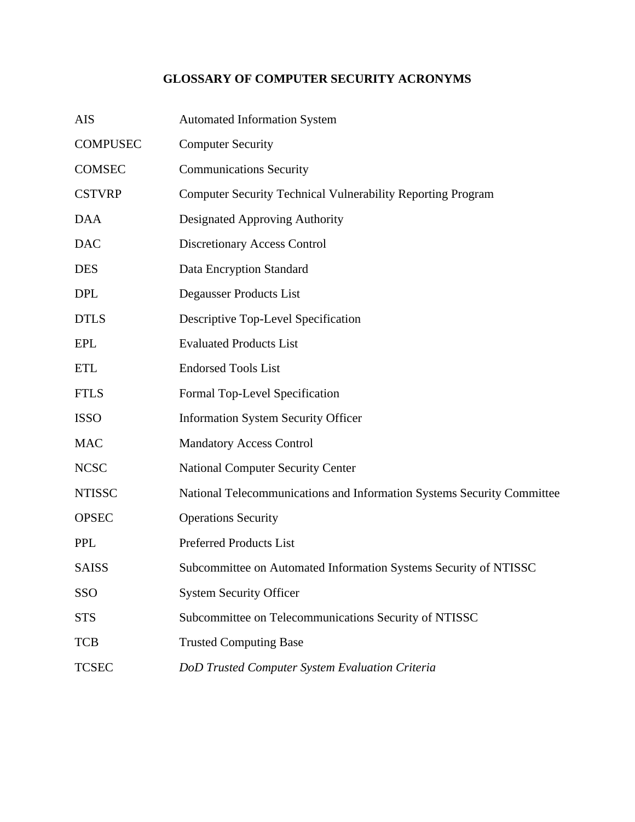# **GLOSSARY OF COMPUTER SECURITY ACRONYMS**

| <b>AIS</b>      | <b>Automated Information System</b>                                    |
|-----------------|------------------------------------------------------------------------|
| <b>COMPUSEC</b> | <b>Computer Security</b>                                               |
| <b>COMSEC</b>   | <b>Communications Security</b>                                         |
| <b>CSTVRP</b>   | <b>Computer Security Technical Vulnerability Reporting Program</b>     |
| <b>DAA</b>      | Designated Approving Authority                                         |
| <b>DAC</b>      | <b>Discretionary Access Control</b>                                    |
| <b>DES</b>      | Data Encryption Standard                                               |
| <b>DPL</b>      | Degausser Products List                                                |
| <b>DTLS</b>     | <b>Descriptive Top-Level Specification</b>                             |
| <b>EPL</b>      | <b>Evaluated Products List</b>                                         |
| <b>ETL</b>      | <b>Endorsed Tools List</b>                                             |
| <b>FTLS</b>     | Formal Top-Level Specification                                         |
| <b>ISSO</b>     | <b>Information System Security Officer</b>                             |
| <b>MAC</b>      | <b>Mandatory Access Control</b>                                        |
| <b>NCSC</b>     | <b>National Computer Security Center</b>                               |
| <b>NTISSC</b>   | National Telecommunications and Information Systems Security Committee |
| <b>OPSEC</b>    | <b>Operations Security</b>                                             |
| <b>PPL</b>      | <b>Preferred Products List</b>                                         |
| <b>SAISS</b>    | Subcommittee on Automated Information Systems Security of NTISSC       |
| SSO             | <b>System Security Officer</b>                                         |
| <b>STS</b>      | Subcommittee on Telecommunications Security of NTISSC                  |
| <b>TCB</b>      | <b>Trusted Computing Base</b>                                          |
| <b>TCSEC</b>    | DoD Trusted Computer System Evaluation Criteria                        |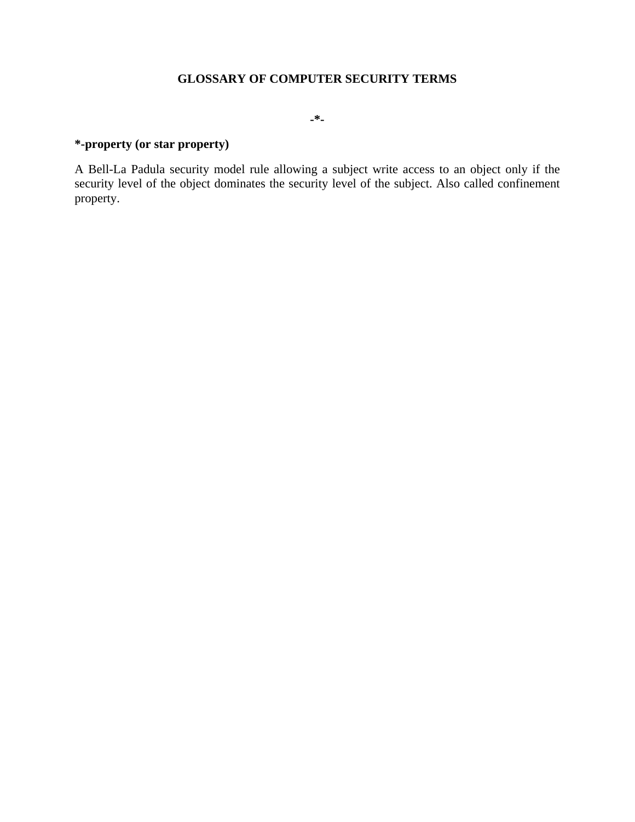## **GLOSSARY OF COMPUTER SECURITY TERMS**

**-\*-**

# **\*-property (or star property)**

A Bell-La Padula security model rule allowing a subject write access to an object only if the security level of the object dominates the security level of the subject. Also called confinement property.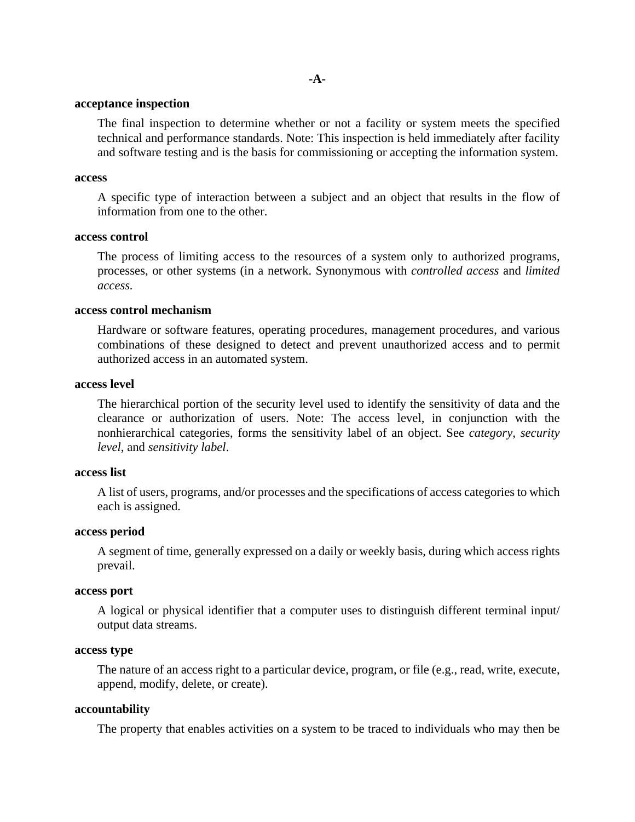**-A-**

#### **acceptance inspection**

The final inspection to determine whether or not a facility or system meets the specified technical and performance standards. Note: This inspection is held immediately after facility and software testing and is the basis for commissioning or accepting the information system.

#### **access**

A specific type of interaction between a subject and an object that results in the flow of information from one to the other.

### **access control**

The process of limiting access to the resources of a system only to authorized programs, processes, or other systems (in a network. Synonymous with *controlled access* and *limited access.*

### **access control mechanism**

Hardware or software features, operating procedures, management procedures, and various combinations of these designed to detect and prevent unauthorized access and to permit authorized access in an automated system.

### **access level**

The hierarchical portion of the security level used to identify the sensitivity of data and the clearance or authorization of users. Note: The access level, in conjunction with the nonhierarchical categories, forms the sensitivity label of an object. See *category, security level*, and *sensitivity label*.

#### **access list**

A list of users, programs, and/or processes and the specifications of access categories to which each is assigned.

#### **access period**

A segment of time, generally expressed on a daily or weekly basis, during which access rights prevail.

#### **access port**

A logical or physical identifier that a computer uses to distinguish different terminal input/ output data streams.

### **access type**

The nature of an access right to a particular device, program, or file (e.g., read, write, execute, append, modify, delete, or create).

#### **accountability**

The property that enables activities on a system to be traced to individuals who may then be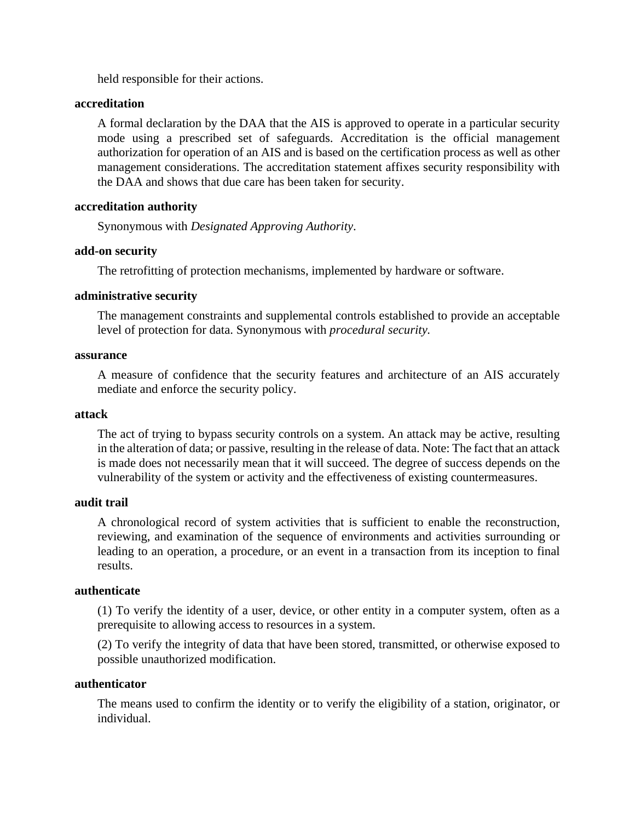held responsible for their actions.

## **accreditation**

A formal declaration by the DAA that the AIS is approved to operate in a particular security mode using a prescribed set of safeguards. Accreditation is the official management authorization for operation of an AIS and is based on the certification process as well as other management considerations. The accreditation statement affixes security responsibility with the DAA and shows that due care has been taken for security.

## **accreditation authority**

Synonymous with *Designated Approving Authority*.

## **add-on security**

The retrofitting of protection mechanisms, implemented by hardware or software.

## **administrative security**

The management constraints and supplemental controls established to provide an acceptable level of protection for data. Synonymous with *procedural security.*

### **assurance**

A measure of confidence that the security features and architecture of an AIS accurately mediate and enforce the security policy.

## **attack**

The act of trying to bypass security controls on a system. An attack may be active, resulting in the alteration of data; or passive, resulting in the release of data. Note: The fact that an attack is made does not necessarily mean that it will succeed. The degree of success depends on the vulnerability of the system or activity and the effectiveness of existing countermeasures.

## **audit trail**

A chronological record of system activities that is sufficient to enable the reconstruction, reviewing, and examination of the sequence of environments and activities surrounding or leading to an operation, a procedure, or an event in a transaction from its inception to final results.

## **authenticate**

(1) To verify the identity of a user, device, or other entity in a computer system, often as a prerequisite to allowing access to resources in a system.

(2) To verify the integrity of data that have been stored, transmitted, or otherwise exposed to possible unauthorized modification.

## **authenticator**

The means used to confirm the identity or to verify the eligibility of a station, originator, or individual.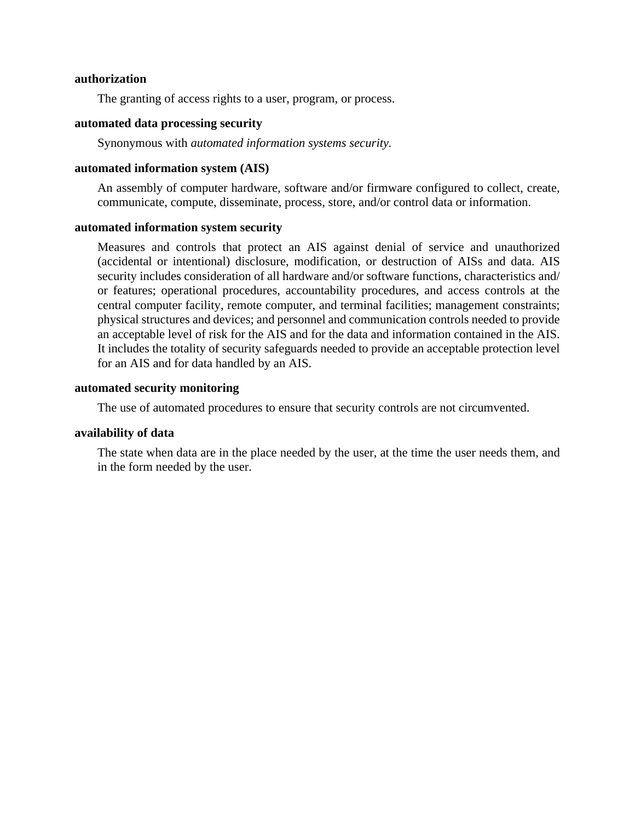## **authorization**

The granting of access rights to a user, program, or process.

## **automated data processing security**

Synonymous with *automated information systems security.*

### **automated information system (AIS)**

An assembly of computer hardware, software and/or firmware configured to collect, create, communicate, compute, disseminate, process, store, and/or control data or information.

### **automated information system security**

Measures and controls that protect an AIS against denial of service and unauthorized (accidental or intentional) disclosure, modification, or destruction of AISs and data. AIS security includes consideration of all hardware and/or software functions, characteristics and/ or features; operational procedures, accountability procedures, and access controls at the central computer facility, remote computer, and terminal facilities; management constraints; physical structures and devices; and personnel and communication controls needed to provide an acceptable level of risk for the AIS and for the data and information contained in the AIS. It includes the totality of security safeguards needed to provide an acceptable protection level for an AIS and for data handled by an AIS.

## **automated security monitoring**

The use of automated procedures to ensure that security controls are not circumvented.

### **availability of data**

The state when data are in the place needed by the user, at the time the user needs them, and in the form needed by the user.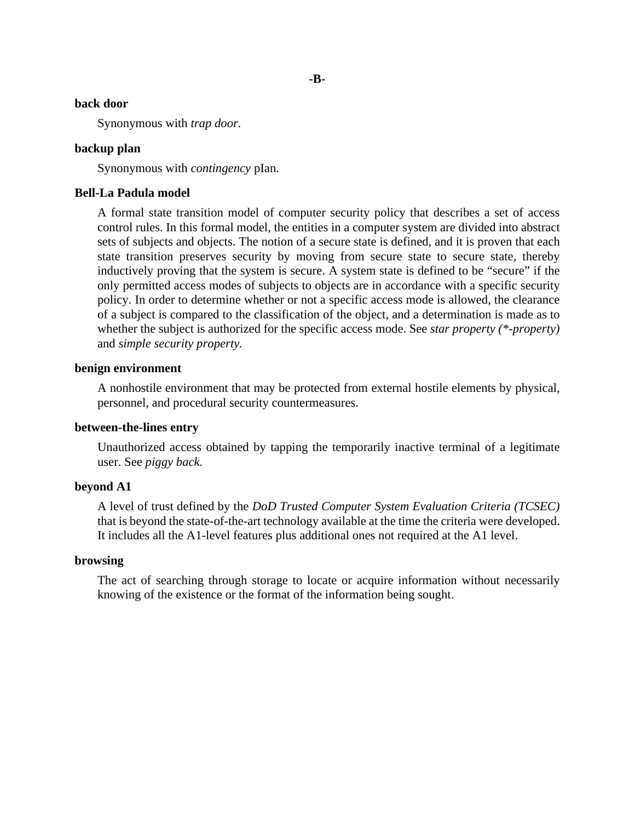### **back door**

Synonymous with *trap door.*

## **backup plan**

Synonymous with *contingency* pIan.

## **Bell-La Padula model**

A formal state transition model of computer security policy that describes a set of access control rules. In this formal model, the entities in a computer system are divided into abstract sets of subjects and objects. The notion of a secure state is defined, and it is proven that each state transition preserves security by moving from secure state to secure state, thereby inductively proving that the system is secure. A system state is defined to be "secure" if the only permitted access modes of subjects to objects are in accordance with a specific security policy. In order to determine whether or not a specific access mode is allowed, the clearance of a subject is compared to the classification of the object, and a determination is made as to whether the subject is authorized for the specific access mode. See *star property (\*-property)* and *simple security property.*

## **benign environment**

A nonhostile environment that may be protected from external hostile elements by physical, personnel, and procedural security countermeasures.

## **between-the-lines entry**

Unauthorized access obtained by tapping the temporarily inactive terminal of a legitimate user. See *piggy back.*

## **beyond A1**

A level of trust defined by the *DoD Trusted Computer System Evaluation Criteria (TCSEC)* that is beyond the state-of-the-art technology available at the time the criteria were developed. It includes all the A1-level features plus additional ones not required at the A1 level.

## **browsing**

The act of searching through storage to locate or acquire information without necessarily knowing of the existence or the format of the information being sought.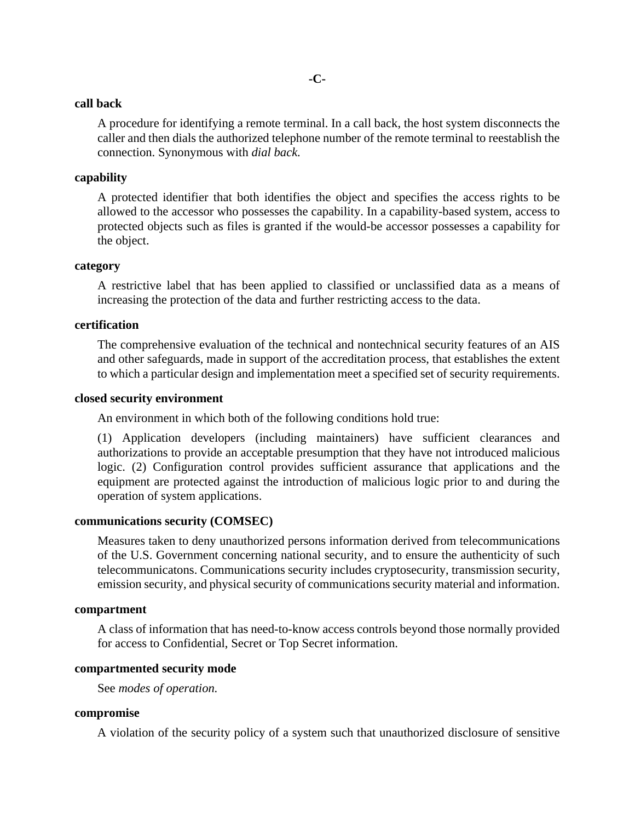## **call back**

A procedure for identifying a remote terminal. In a call back, the host system disconnects the caller and then dials the authorized telephone number of the remote terminal to reestablish the connection. Synonymous with *dial back.*

## **capability**

A protected identifier that both identifies the object and specifies the access rights to be allowed to the accessor who possesses the capability. In a capability-based system, access to protected objects such as files is granted if the would-be accessor possesses a capability for the object.

### **category**

A restrictive label that has been applied to classified or unclassified data as a means of increasing the protection of the data and further restricting access to the data.

## **certification**

The comprehensive evaluation of the technical and nontechnical security features of an AIS and other safeguards, made in support of the accreditation process, that establishes the extent to which a particular design and implementation meet a specified set of security requirements.

### **closed security environment**

An environment in which both of the following conditions hold true:

(1) Application developers (including maintainers) have sufficient clearances and authorizations to provide an acceptable presumption that they have not introduced malicious logic. (2) Configuration control provides sufficient assurance that applications and the equipment are protected against the introduction of malicious logic prior to and during the operation of system applications.

### **communications security (COMSEC)**

Measures taken to deny unauthorized persons information derived from telecommunications of the U.S. Government concerning national security, and to ensure the authenticity of such telecommunicatons. Communications security includes cryptosecurity, transmission security, emission security, and physical security of communications security material and information.

#### **compartment**

A class of information that has need-to-know access controls beyond those normally provided for access to Confidential, Secret or Top Secret information.

## **compartmented security mode**

See *modes of operation.*

## **compromise**

A violation of the security policy of a system such that unauthorized disclosure of sensitive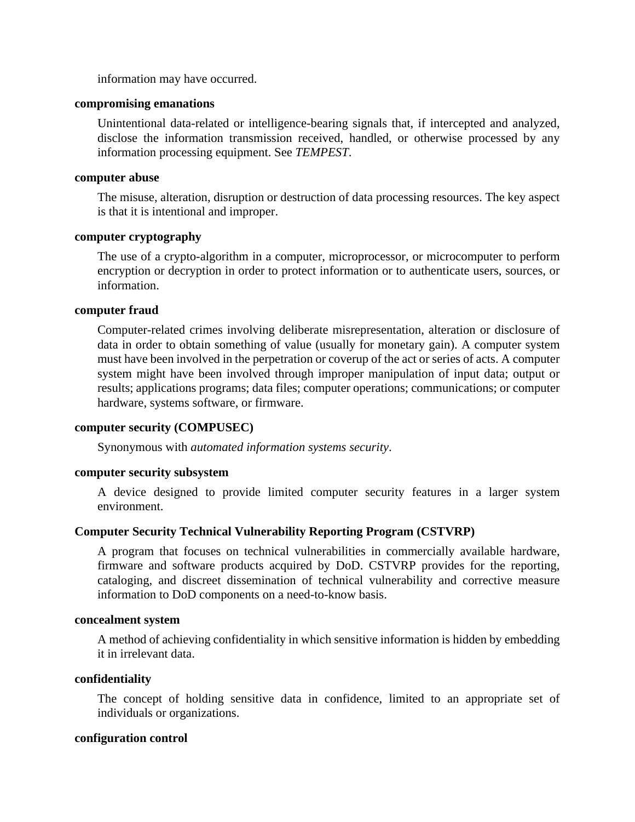information may have occurred.

### **compromising emanations**

Unintentional data-related or intelligence-bearing signals that, if intercepted and analyzed, disclose the information transmission received, handled, or otherwise processed by any information processing equipment. See *TEMPEST*.

## **computer abuse**

The misuse, alteration, disruption or destruction of data processing resources. The key aspect is that it is intentional and improper.

## **computer cryptography**

The use of a crypto-algorithm in a computer, microprocessor, or microcomputer to perform encryption or decryption in order to protect information or to authenticate users, sources, or information.

## **computer fraud**

Computer-related crimes involving deliberate misrepresentation, alteration or disclosure of data in order to obtain something of value (usually for monetary gain). A computer system must have been involved in the perpetration or coverup of the act or series of acts. A computer system might have been involved through improper manipulation of input data; output or results; applications programs; data files; computer operations; communications; or computer hardware, systems software, or firmware.

## **computer security (COMPUSEC)**

Synonymous with *automated information systems security*.

## **computer security subsystem**

A device designed to provide limited computer security features in a larger system environment.

## **Computer Security Technical Vulnerability Reporting Program (CSTVRP)**

A program that focuses on technical vulnerabilities in commercially available hardware, firmware and software products acquired by DoD. CSTVRP provides for the reporting, cataloging, and discreet dissemination of technical vulnerability and corrective measure information to DoD components on a need-to-know basis.

## **concealment system**

A method of achieving confidentiality in which sensitive information is hidden by embedding it in irrelevant data.

## **confidentiality**

The concept of holding sensitive data in confidence, limited to an appropriate set of individuals or organizations.

## **configuration control**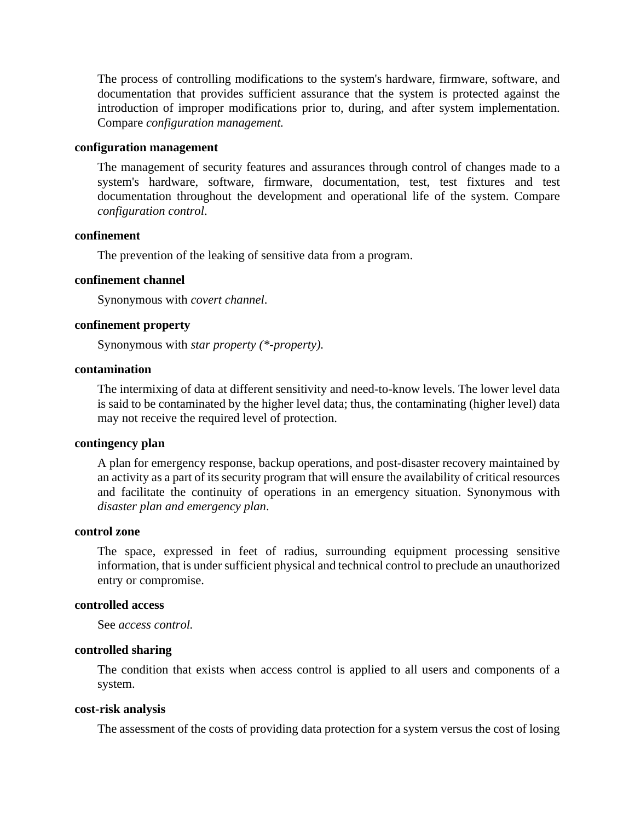The process of controlling modifications to the system's hardware, firmware, software, and documentation that provides sufficient assurance that the system is protected against the introduction of improper modifications prior to, during, and after system implementation. Compare *configuration management.*

## **configuration management**

The management of security features and assurances through control of changes made to a system's hardware, software, firmware, documentation, test, test fixtures and test documentation throughout the development and operational life of the system. Compare *configuration control*.

### **confinement**

The prevention of the leaking of sensitive data from a program.

### **confinement channel**

Synonymous with *covert channel*.

## **confinement property**

Synonymous with *star property (\*-property).*

#### **contamination**

The intermixing of data at different sensitivity and need-to-know levels. The lower level data is said to be contaminated by the higher level data; thus, the contaminating (higher level) data may not receive the required level of protection.

#### **contingency plan**

A plan for emergency response, backup operations, and post-disaster recovery maintained by an activity as a part of its security program that will ensure the availability of critical resources and facilitate the continuity of operations in an emergency situation. Synonymous with *disaster plan and emergency plan*.

### **control zone**

The space, expressed in feet of radius, surrounding equipment processing sensitive information, that is under sufficient physical and technical control to preclude an unauthorized entry or compromise.

## **controlled access**

See *access control.*

## **controlled sharing**

The condition that exists when access control is applied to all users and components of a system.

### **cost-risk analysis**

The assessment of the costs of providing data protection for a system versus the cost of losing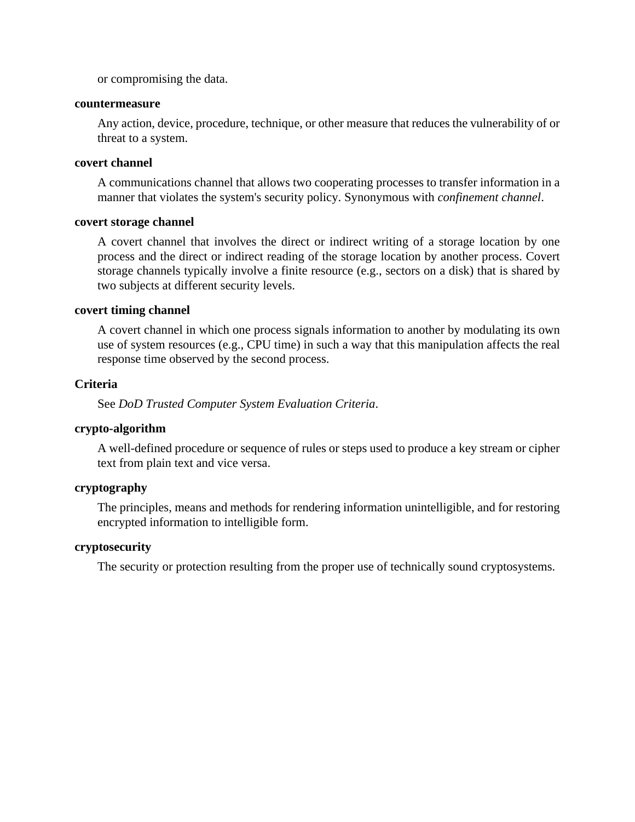or compromising the data.

#### **countermeasure**

Any action, device, procedure, technique, or other measure that reduces the vulnerability of or threat to a system.

## **covert channel**

A communications channel that allows two cooperating processes to transfer information in a manner that violates the system's security policy. Synonymous with *confinement channel*.

## **covert storage channel**

A covert channel that involves the direct or indirect writing of a storage location by one process and the direct or indirect reading of the storage location by another process. Covert storage channels typically involve a finite resource (e.g., sectors on a disk) that is shared by two subjects at different security levels.

## **covert timing channel**

A covert channel in which one process signals information to another by modulating its own use of system resources (e.g., CPU time) in such a way that this manipulation affects the real response time observed by the second process.

## **Criteria**

See *DoD Trusted Computer System Evaluation Criteria*.

## **crypto-algorithm**

A well-defined procedure or sequence of rules or steps used to produce a key stream or cipher text from plain text and vice versa.

## **cryptography**

The principles, means and methods for rendering information unintelligible, and for restoring encrypted information to intelligible form.

## **cryptosecurity**

The security or protection resulting from the proper use of technically sound cryptosystems.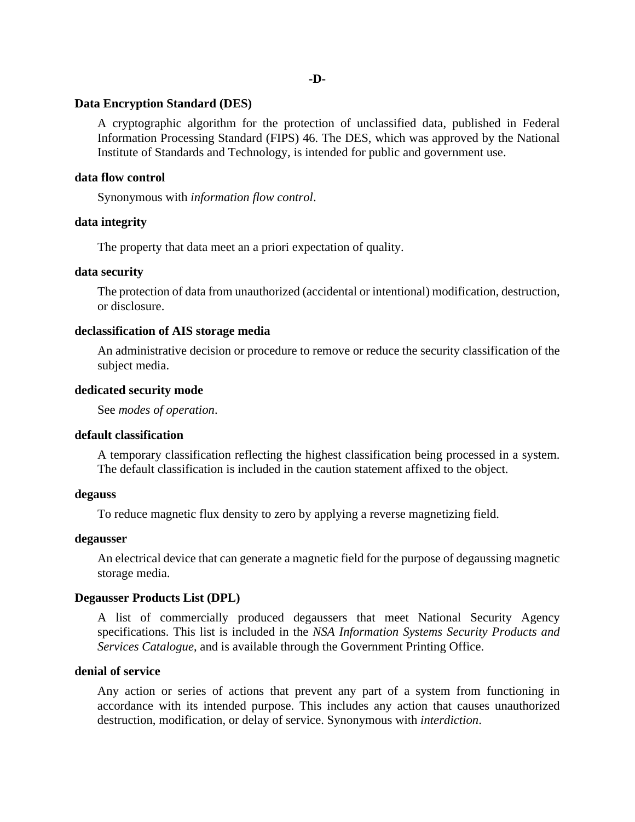### **-D-**

### **Data Encryption Standard (DES)**

A cryptographic algorithm for the protection of unclassified data, published in Federal Information Processing Standard (FIPS) 46. The DES, which was approved by the National Institute of Standards and Technology, is intended for public and government use.

### **data flow control**

Synonymous with *information flow control*.

### **data integrity**

The property that data meet an a priori expectation of quality.

### **data security**

The protection of data from unauthorized (accidental or intentional) modification, destruction, or disclosure.

### **declassification of AIS storage media**

An administrative decision or procedure to remove or reduce the security classification of the subject media.

### **dedicated security mode**

See *modes of operation*.

#### **default classification**

A temporary classification reflecting the highest classification being processed in a system. The default classification is included in the caution statement affixed to the object.

#### **degauss**

To reduce magnetic flux density to zero by applying a reverse magnetizing field.

#### **degausser**

An electrical device that can generate a magnetic field for the purpose of degaussing magnetic storage media.

#### **Degausser Products List (DPL)**

A list of commercially produced degaussers that meet National Security Agency specifications. This list is included in the *NSA Information Systems Security Products and Services Catalogue*, and is available through the Government Printing Office.

#### **denial of service**

Any action or series of actions that prevent any part of a system from functioning in accordance with its intended purpose. This includes any action that causes unauthorized destruction, modification, or delay of service. Synonymous with *interdiction*.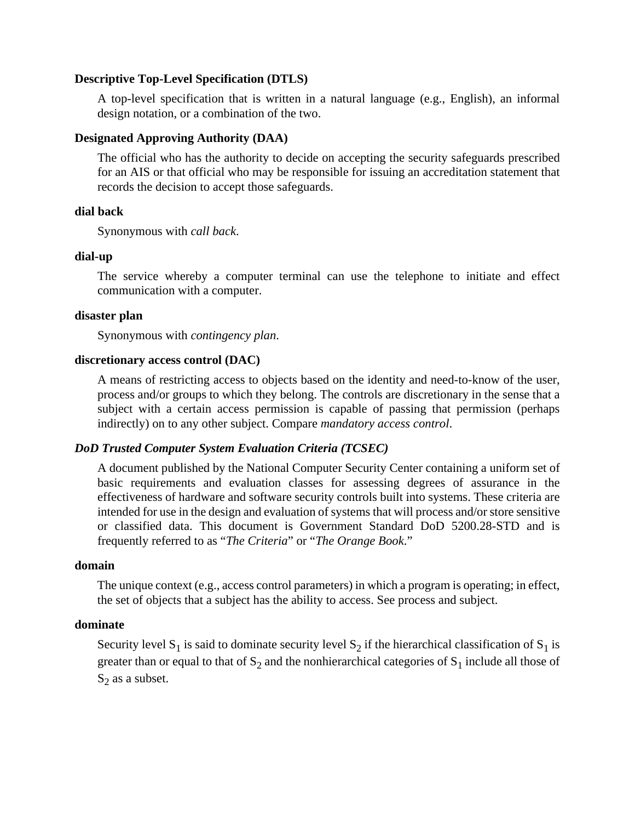## **Descriptive Top-Level Specification (DTLS)**

A top-level specification that is written in a natural language (e.g., English), an informal design notation, or a combination of the two.

## **Designated Approving Authority (DAA)**

The official who has the authority to decide on accepting the security safeguards prescribed for an AIS or that official who may be responsible for issuing an accreditation statement that records the decision to accept those safeguards.

## **dial back**

Synonymous with *call back*.

## **dial-up**

The service whereby a computer terminal can use the telephone to initiate and effect communication with a computer.

## **disaster plan**

Synonymous with *contingency plan*.

## **discretionary access control (DAC)**

A means of restricting access to objects based on the identity and need-to-know of the user, process and/or groups to which they belong. The controls are discretionary in the sense that a subject with a certain access permission is capable of passing that permission (perhaps indirectly) on to any other subject. Compare *mandatory access control*.

## *DoD Trusted Computer System Evaluation Criteria (TCSEC)*

A document published by the National Computer Security Center containing a uniform set of basic requirements and evaluation classes for assessing degrees of assurance in the effectiveness of hardware and software security controls built into systems. These criteria are intended for use in the design and evaluation of systems that will process and/or store sensitive or classified data. This document is Government Standard DoD 5200.28-STD and is frequently referred to as "*The Criteria*" or "*The Orange Book*."

## **domain**

The unique context (e.g., access control parameters) in which a program is operating; in effect, the set of objects that a subject has the ability to access. See process and subject.

## **dominate**

Security level  $S_1$  is said to dominate security level  $S_2$  if the hierarchical classification of  $S_1$  is greater than or equal to that of  $S_2$  and the nonhierarchical categories of  $S_1$  include all those of  $S_2$  as a subset.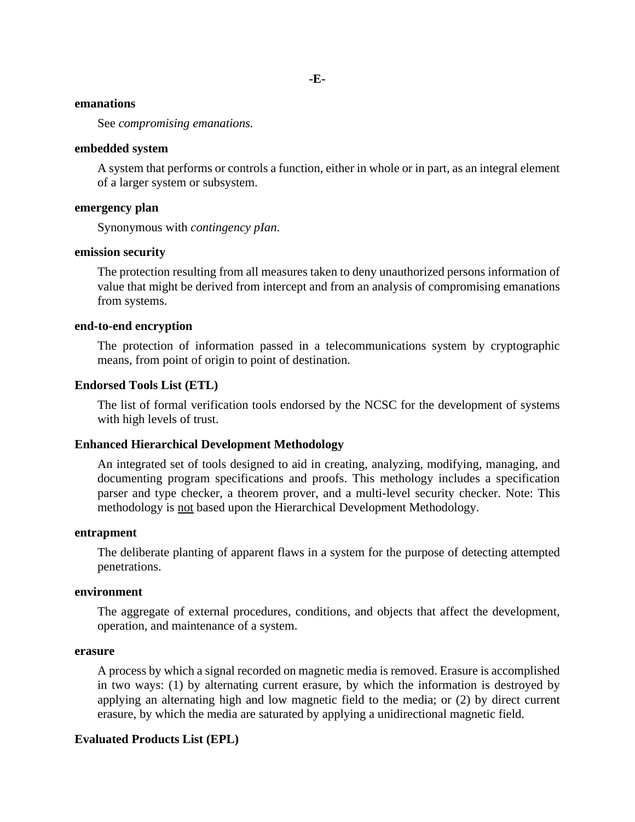### **emanations**

See *compromising emanations.*

#### **embedded system**

A system that performs or controls a function, either in whole or in part, as an integral element of a larger system or subsystem.

### **emergency plan**

Synonymous with *contingency pIan*.

### **emission security**

The protection resulting from all measures taken to deny unauthorized persons information of value that might be derived from intercept and from an analysis of compromising emanations from systems.

### **end-to-end encryption**

The protection of information passed in a telecommunications system by cryptographic means, from point of origin to point of destination.

## **Endorsed Tools List (ETL)**

The list of formal verification tools endorsed by the NCSC for the development of systems with high levels of trust.

## **Enhanced Hierarchical Development Methodology**

An integrated set of tools designed to aid in creating, analyzing, modifying, managing, and documenting program specifications and proofs. This methology includes a specification parser and type checker, a theorem prover, and a multi-level security checker. Note: This methodology is not based upon the Hierarchical Development Methodology.

## **entrapment**

The deliberate planting of apparent flaws in a system for the purpose of detecting attempted penetrations.

#### **environment**

The aggregate of external procedures, conditions, and objects that affect the development, operation, and maintenance of a system.

#### **erasure**

A process by which a signal recorded on magnetic media is removed. Erasure is accomplished in two ways: (1) by alternating current erasure, by which the information is destroyed by applying an alternating high and low magnetic field to the media; or (2) by direct current erasure, by which the media are saturated by applying a unidirectional magnetic field.

## **Evaluated Products List (EPL)**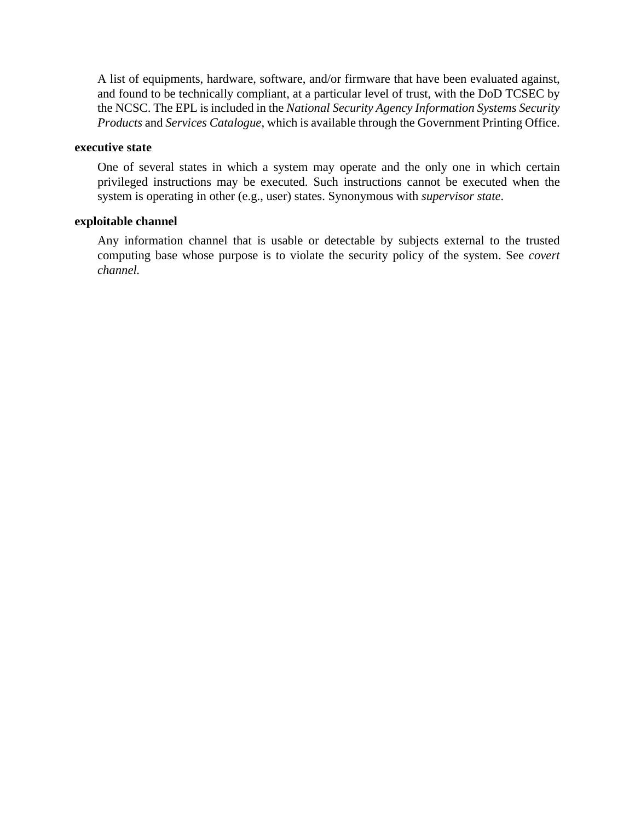A list of equipments, hardware, software, and/or firmware that have been evaluated against, and found to be technically compliant, at a particular level of trust, with the DoD TCSEC by the NCSC. The EPL is included in the *National Security Agency Information Systems Security Products* and *Services Catalogue*, which is available through the Government Printing Office.

## **executive state**

One of several states in which a system may operate and the only one in which certain privileged instructions may be executed. Such instructions cannot be executed when the system is operating in other (e.g., user) states. Synonymous with *supervisor state*.

## **exploitable channel**

Any information channel that is usable or detectable by subjects external to the trusted computing base whose purpose is to violate the security policy of the system. See *covert channel.*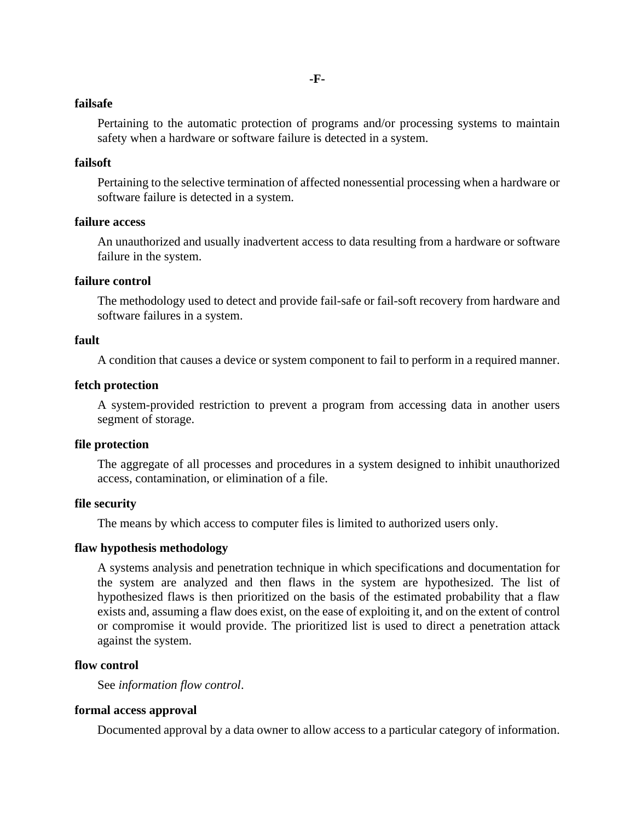### **failsafe**

Pertaining to the automatic protection of programs and/or processing systems to maintain safety when a hardware or software failure is detected in a system.

## **failsoft**

Pertaining to the selective termination of affected nonessential processing when a hardware or software failure is detected in a system.

### **failure access**

An unauthorized and usually inadvertent access to data resulting from a hardware or software failure in the system.

### **failure control**

The methodology used to detect and provide fail-safe or fail-soft recovery from hardware and software failures in a system.

### **fault**

A condition that causes a device or system component to fail to perform in a required manner.

## **fetch protection**

A system-provided restriction to prevent a program from accessing data in another users segment of storage.

## **file protection**

The aggregate of all processes and procedures in a system designed to inhibit unauthorized access, contamination, or elimination of a file.

## **file security**

The means by which access to computer files is limited to authorized users only.

## **flaw hypothesis methodology**

A systems analysis and penetration technique in which specifications and documentation for the system are analyzed and then flaws in the system are hypothesized. The list of hypothesized flaws is then prioritized on the basis of the estimated probability that a flaw exists and, assuming a flaw does exist, on the ease of exploiting it, and on the extent of control or compromise it would provide. The prioritized list is used to direct a penetration attack against the system.

## **flow control**

See *information flow control*.

## **formal access approval**

Documented approval by a data owner to allow access to a particular category of information.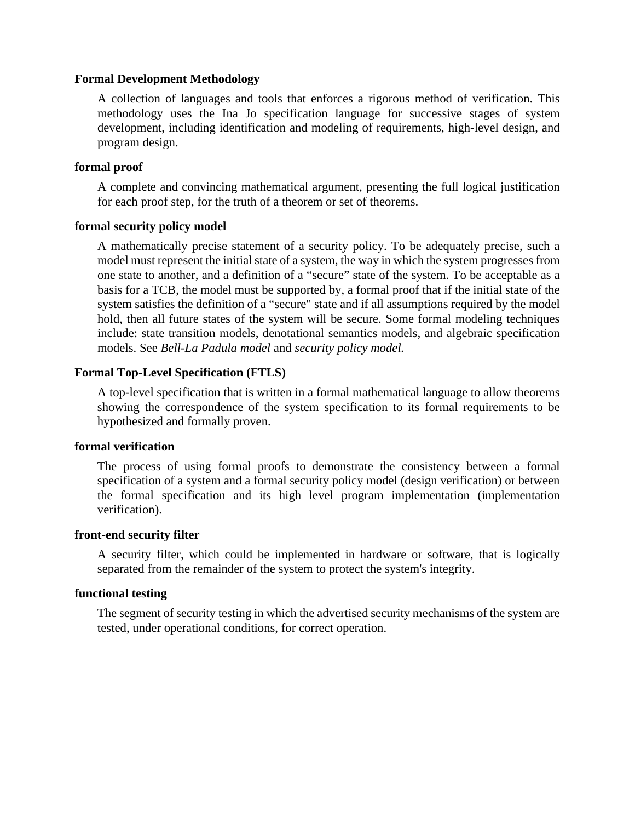## **Formal Development Methodology**

A collection of languages and tools that enforces a rigorous method of verification. This methodology uses the Ina Jo specification language for successive stages of system development, including identification and modeling of requirements, high-level design, and program design.

### **formal proof**

A complete and convincing mathematical argument, presenting the full logical justification for each proof step, for the truth of a theorem or set of theorems.

### **formal security policy model**

A mathematically precise statement of a security policy. To be adequately precise, such a model must represent the initial state of a system, the way in which the system progresses from one state to another, and a definition of a "secure" state of the system. To be acceptable as a basis for a TCB, the model must be supported by, a formal proof that if the initial state of the system satisfies the definition of a "secure" state and if all assumptions required by the model hold, then all future states of the system will be secure. Some formal modeling techniques include: state transition models, denotational semantics models, and algebraic specification models. See *Bell-La Padula model* and *security policy model.*

## **Formal Top-Level Specification (FTLS)**

A top-level specification that is written in a formal mathematical language to allow theorems showing the correspondence of the system specification to its formal requirements to be hypothesized and formally proven.

## **formal verification**

The process of using formal proofs to demonstrate the consistency between a formal specification of a system and a formal security policy model (design verification) or between the formal specification and its high level program implementation (implementation verification).

### **front-end security filter**

A security filter, which could be implemented in hardware or software, that is logically separated from the remainder of the system to protect the system's integrity.

### **functional testing**

The segment of security testing in which the advertised security mechanisms of the system are tested, under operational conditions, for correct operation.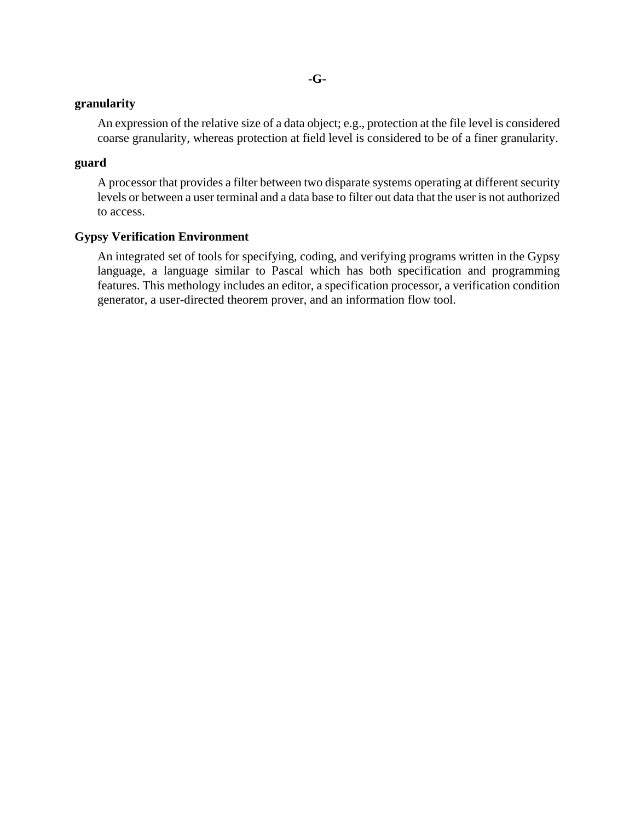## **granularity**

An expression of the relative size of a data object; e.g., protection at the file level is considered coarse granularity, whereas protection at field level is considered to be of a finer granularity.

## **guard**

A processor that provides a filter between two disparate systems operating at different security levels or between a user terminal and a data base to filter out data that the user is not authorized to access.

## **Gypsy Verification Environment**

An integrated set of tools for specifying, coding, and verifying programs written in the Gypsy language, a language similar to Pascal which has both specification and programming features. This methology includes an editor, a specification processor, a verification condition generator, a user-directed theorem prover, and an information flow tool.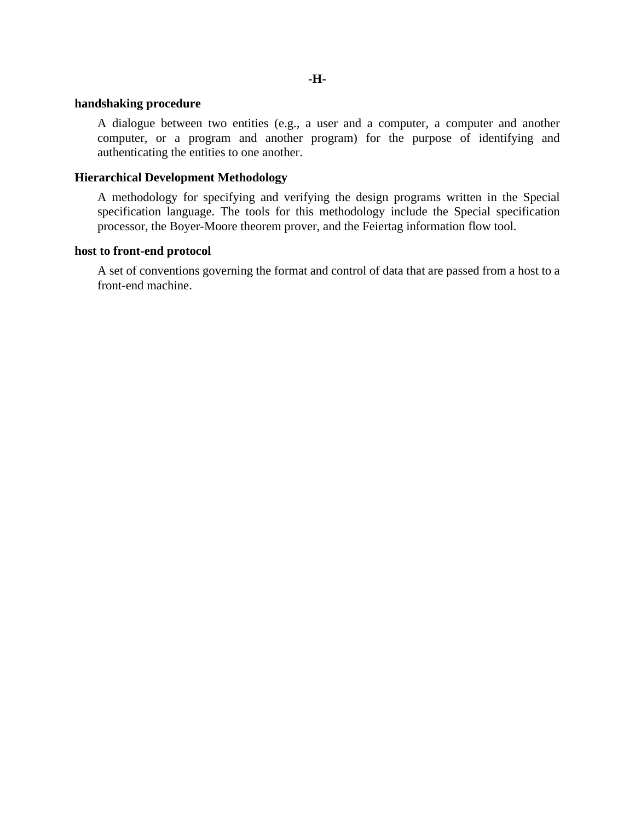### **handshaking procedure**

A dialogue between two entities (e.g., a user and a computer, a computer and another computer, or a program and another program) for the purpose of identifying and authenticating the entities to one another.

## **Hierarchical Development Methodology**

A methodology for specifying and verifying the design programs written in the Special specification language. The tools for this methodology include the Special specification processor, the Boyer-Moore theorem prover, and the Feiertag information flow tool.

## **host to front-end protocol**

A set of conventions governing the format and control of data that are passed from a host to a front-end machine.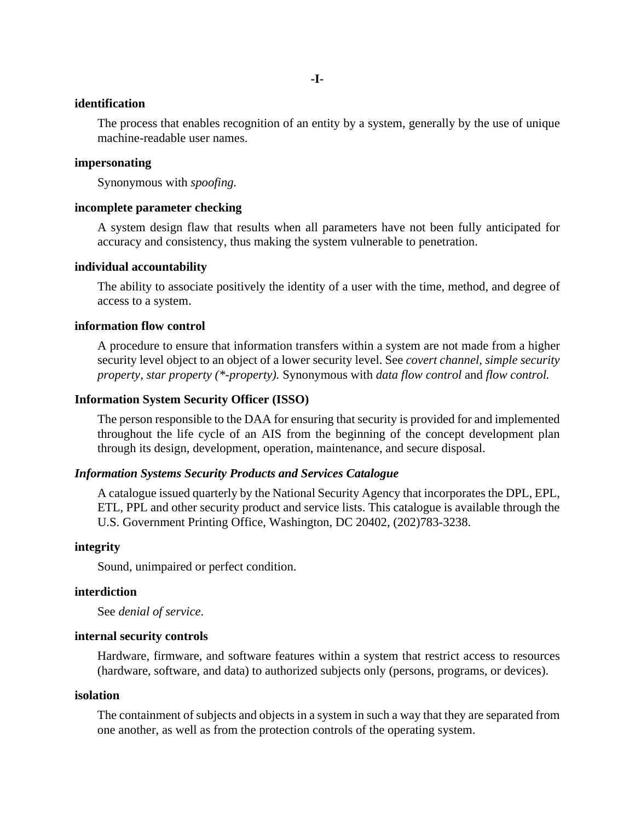### **identification**

The process that enables recognition of an entity by a system, generally by the use of unique machine-readable user names.

#### **impersonating**

Synonymous with *spoofing.*

### **incomplete parameter checking**

A system design flaw that results when all parameters have not been fully anticipated for accuracy and consistency, thus making the system vulnerable to penetration.

### **individual accountability**

The ability to associate positively the identity of a user with the time, method, and degree of access to a system.

## **information flow control**

A procedure to ensure that information transfers within a system are not made from a higher security level object to an object of a lower security level. See *covert channel, simple security property, star property (\*-property).* Synonymous with *data flow control* and *flow control.*

### **Information System Security Officer (ISSO)**

The person responsible to the DAA for ensuring that security is provided for and implemented throughout the life cycle of an AIS from the beginning of the concept development plan through its design, development, operation, maintenance, and secure disposal.

## *Information Systems Security Products and Services Catalogue*

A catalogue issued quarterly by the National Security Agency that incorporates the DPL, EPL, ETL, PPL and other security product and service lists. This catalogue is available through the U.S. Government Printing Office, Washington, DC 20402, (202)783-3238.

## **integrity**

Sound, unimpaired or perfect condition.

### **interdiction**

See *denial of service*.

## **internal security controls**

Hardware, firmware, and software features within a system that restrict access to resources (hardware, software, and data) to authorized subjects only (persons, programs, or devices).

### **isolation**

The containment of subjects and objects in a system in such a way that they are separated from one another, as well as from the protection controls of the operating system.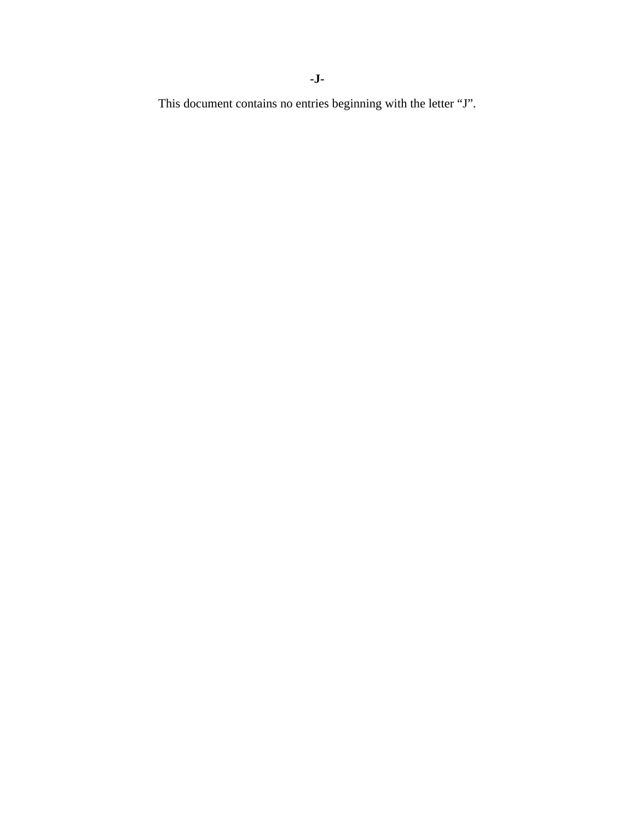This document contains no entries beginning with the letter "J".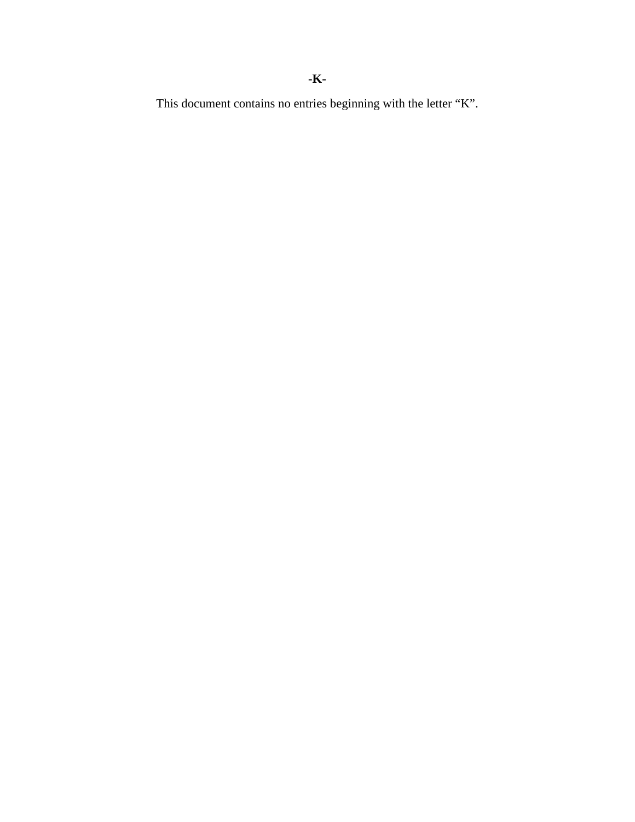This document contains no entries beginning with the letter "K".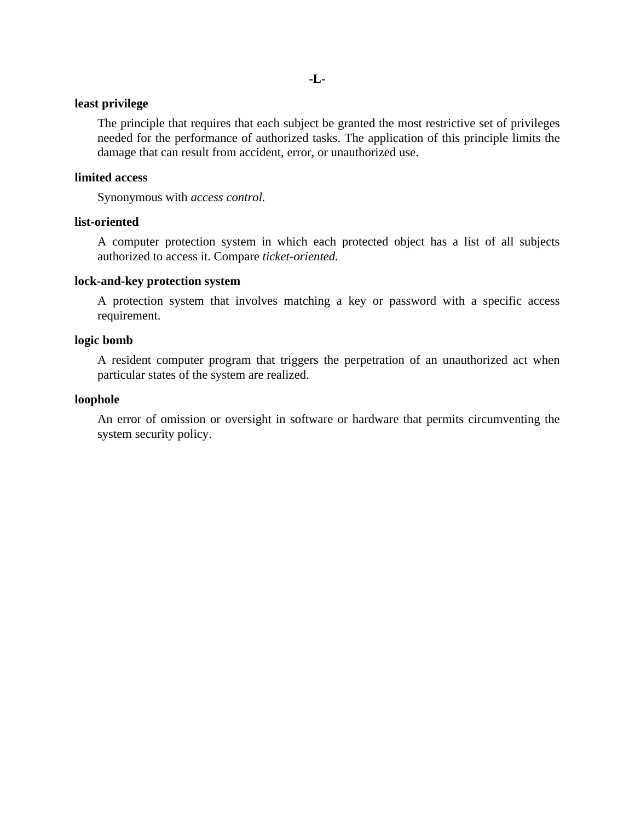## **least privilege**

The principle that requires that each subject be granted the most restrictive set of privileges needed for the performance of authorized tasks. The application of this principle limits the damage that can result from accident, error, or unauthorized use.

## **limited access**

Synonymous with *access control.*

## **list-oriented**

A computer protection system in which each protected object has a list of all subjects authorized to access it. Compare *ticket-oriented.*

### **lock-and-key protection system**

A protection system that involves matching a key or password with a specific access requirement.

### **logic bomb**

A resident computer program that triggers the perpetration of an unauthorized act when particular states of the system are realized.

### **loophole**

An error of omission or oversight in software or hardware that permits circumventing the system security policy.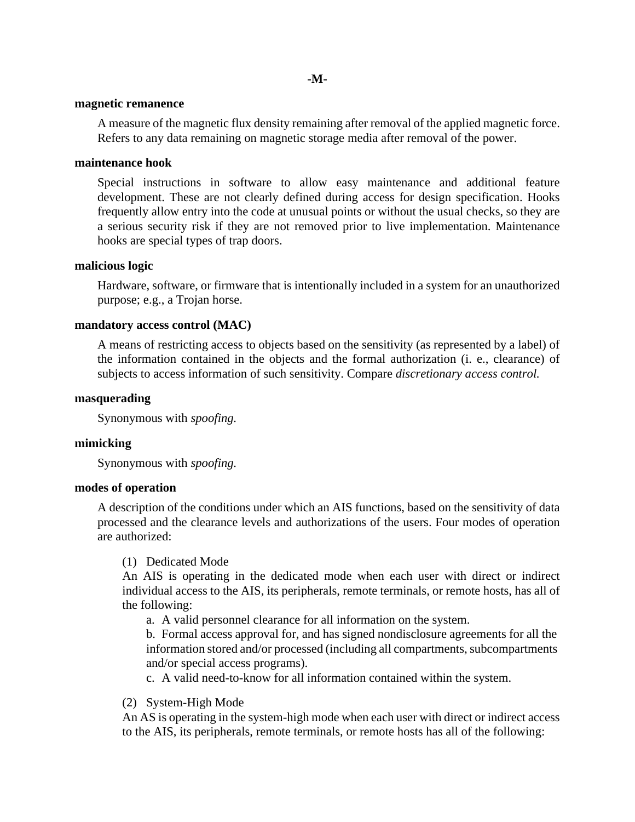#### **magnetic remanence**

A measure of the magnetic flux density remaining after removal of the applied magnetic force. Refers to any data remaining on magnetic storage media after removal of the power.

### **maintenance hook**

Special instructions in software to allow easy maintenance and additional feature development. These are not clearly defined during access for design specification. Hooks frequently allow entry into the code at unusual points or without the usual checks, so they are a serious security risk if they are not removed prior to live implementation. Maintenance hooks are special types of trap doors.

#### **malicious logic**

Hardware, software, or firmware that is intentionally included in a system for an unauthorized purpose; e.g., a Trojan horse.

### **mandatory access control (MAC)**

A means of restricting access to objects based on the sensitivity (as represented by a label) of the information contained in the objects and the formal authorization (i. e., clearance) of subjects to access information of such sensitivity. Compare *discretionary access control.*

#### **masquerading**

Synonymous with *spoofing.*

#### **mimicking**

Synonymous with *spoofing.*

#### **modes of operation**

A description of the conditions under which an AIS functions, based on the sensitivity of data processed and the clearance levels and authorizations of the users. Four modes of operation are authorized:

(1) Dedicated Mode

An AIS is operating in the dedicated mode when each user with direct or indirect individual access to the AIS, its peripherals, remote terminals, or remote hosts, has all of the following:

a. A valid personnel clearance for all information on the system.

b. Formal access approval for, and has signed nondisclosure agreements for all the information stored and/or processed (including all compartments, subcompartments and/or special access programs).

c. A valid need-to-know for all information contained within the system.

### (2) System-High Mode

An AS is operating in the system-high mode when each user with direct or indirect access to the AIS, its peripherals, remote terminals, or remote hosts has all of the following: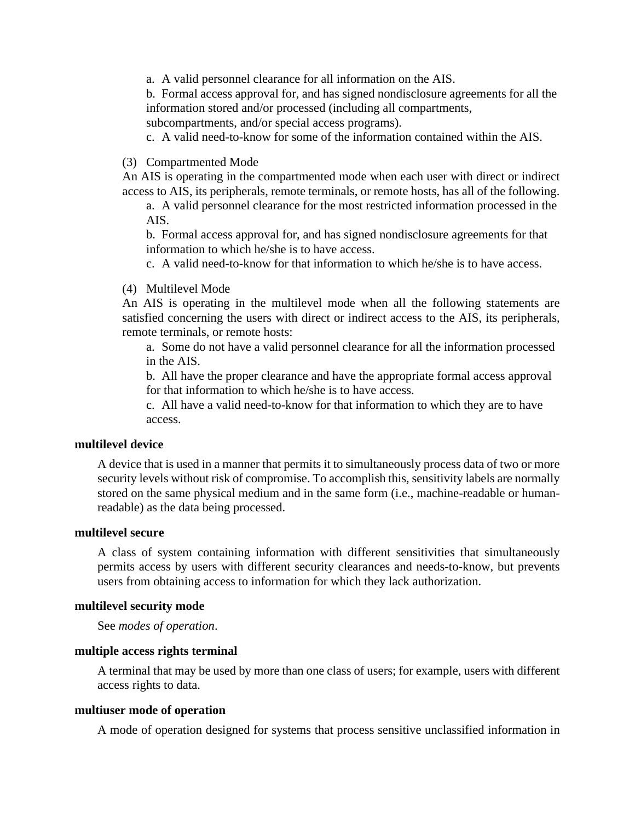a. A valid personnel clearance for all information on the AIS.

b. Formal access approval for, and has signed nondisclosure agreements for all the information stored and/or processed (including all compartments,

subcompartments, and/or special access programs).

c. A valid need-to-know for some of the information contained within the AIS.

## (3) Compartmented Mode

An AIS is operating in the compartmented mode when each user with direct or indirect access to AIS, its peripherals, remote terminals, or remote hosts, has all of the following.

a. A valid personnel clearance for the most restricted information processed in the AIS.

b. Formal access approval for, and has signed nondisclosure agreements for that information to which he/she is to have access.

c. A valid need-to-know for that information to which he/she is to have access.

(4) Multilevel Mode

An AIS is operating in the multilevel mode when all the following statements are satisfied concerning the users with direct or indirect access to the AIS, its peripherals, remote terminals, or remote hosts:

a. Some do not have a valid personnel clearance for all the information processed in the AIS.

b. All have the proper clearance and have the appropriate formal access approval for that information to which he/she is to have access.

c. All have a valid need-to-know for that information to which they are to have access.

## **multilevel device**

A device that is used in a manner that permits it to simultaneously process data of two or more security levels without risk of compromise. To accomplish this, sensitivity labels are normally stored on the same physical medium and in the same form (i.e., machine-readable or humanreadable) as the data being processed.

## **multilevel secure**

A class of system containing information with different sensitivities that simultaneously permits access by users with different security clearances and needs-to-know, but prevents users from obtaining access to information for which they lack authorization.

## **multilevel security mode**

See *modes of operation*.

## **multiple access rights terminal**

A terminal that may be used by more than one class of users; for example, users with different access rights to data.

## **multiuser mode of operation**

A mode of operation designed for systems that process sensitive unclassified information in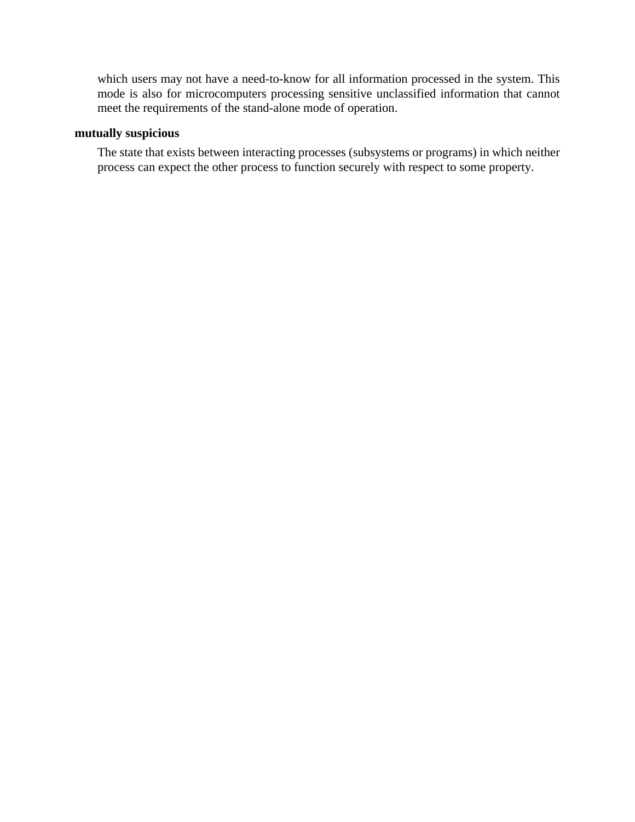which users may not have a need-to-know for all information processed in the system. This mode is also for microcomputers processing sensitive unclassified information that cannot meet the requirements of the stand-alone mode of operation.

## **mutually suspicious**

The state that exists between interacting processes (subsystems or programs) in which neither process can expect the other process to function securely with respect to some property.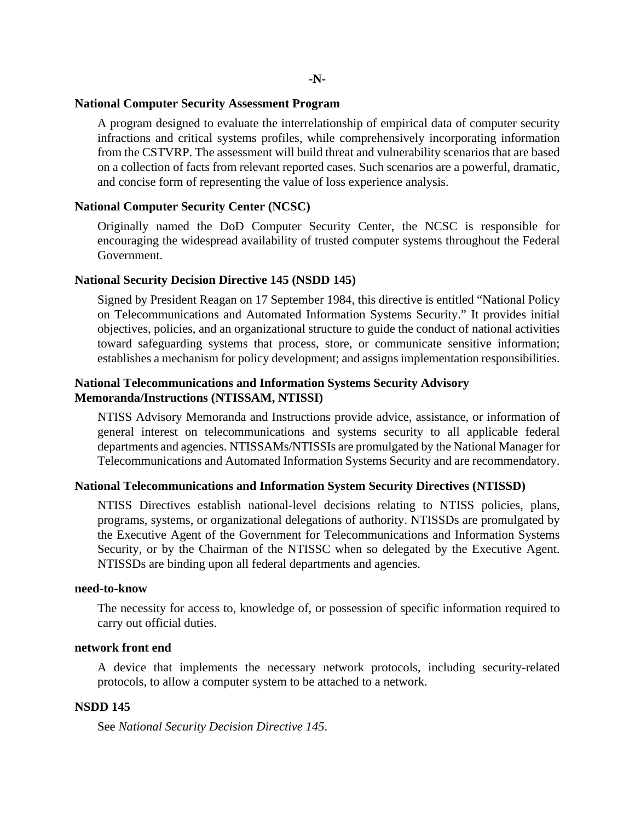### **National Computer Security Assessment Program**

A program designed to evaluate the interrelationship of empirical data of computer security infractions and critical systems profiles, while comprehensively incorporating information from the CSTVRP. The assessment will build threat and vulnerability scenarios that are based on a collection of facts from relevant reported cases. Such scenarios are a powerful, dramatic, and concise form of representing the value of loss experience analysis.

## **National Computer Security Center (NCSC)**

Originally named the DoD Computer Security Center, the NCSC is responsible for encouraging the widespread availability of trusted computer systems throughout the Federal Government.

## **National Security Decision Directive 145 (NSDD 145)**

Signed by President Reagan on 17 September 1984, this directive is entitled "National Policy on Telecommunications and Automated Information Systems Security." It provides initial objectives, policies, and an organizational structure to guide the conduct of national activities toward safeguarding systems that process, store, or communicate sensitive information; establishes a mechanism for policy development; and assigns implementation responsibilities.

## **National Telecommunications and Information Systems Security Advisory Memoranda/Instructions (NTISSAM, NTISSI)**

NTISS Advisory Memoranda and Instructions provide advice, assistance, or information of general interest on telecommunications and systems security to all applicable federal departments and agencies. NTISSAMs/NTISSIs are promulgated by the National Manager for Telecommunications and Automated Information Systems Security and are recommendatory.

## **National Telecommunications and Information System Security Directives (NTISSD)**

NTISS Directives establish national-level decisions relating to NTISS policies, plans, programs, systems, or organizational delegations of authority. NTISSDs are promulgated by the Executive Agent of the Government for Telecommunications and Information Systems Security, or by the Chairman of the NTISSC when so delegated by the Executive Agent. NTISSDs are binding upon all federal departments and agencies.

## **need-to-know**

The necessity for access to, knowledge of, or possession of specific information required to carry out official duties.

## **network front end**

A device that implements the necessary network protocols, including security-related protocols, to allow a computer system to be attached to a network.

## **NSDD 145**

See *National Security Decision Directive 145*.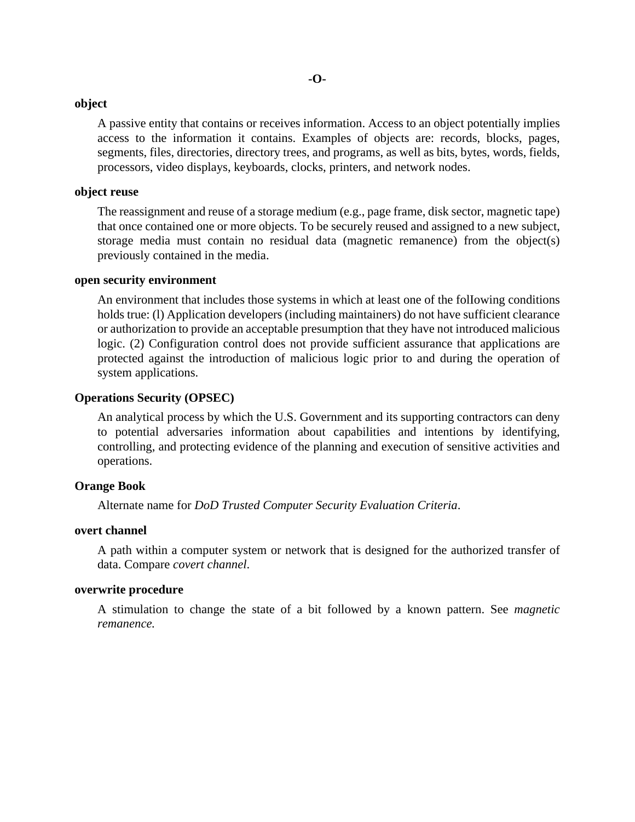#### **object**

A passive entity that contains or receives information. Access to an object potentially implies access to the information it contains. Examples of objects are: records, blocks, pages, segments, files, directories, directory trees, and programs, as well as bits, bytes, words, fields, processors, video displays, keyboards, clocks, printers, and network nodes.

#### **object reuse**

The reassignment and reuse of a storage medium (e.g., page frame, disk sector, magnetic tape) that once contained one or more objects. To be securely reused and assigned to a new subject, storage media must contain no residual data (magnetic remanence) from the object(s) previously contained in the media.

### **open security environment**

An environment that includes those systems in which at least one of the folIowing conditions holds true: (1) Application developers (including maintainers) do not have sufficient clearance or authorization to provide an acceptable presumption that they have not introduced malicious logic. (2) Configuration control does not provide sufficient assurance that applications are protected against the introduction of malicious logic prior to and during the operation of system applications.

## **Operations Security (OPSEC)**

An analytical process by which the U.S. Government and its supporting contractors can deny to potential adversaries information about capabilities and intentions by identifying, controlling, and protecting evidence of the planning and execution of sensitive activities and operations.

### **Orange Book**

Alternate name for *DoD Trusted Computer Security Evaluation Criteria*.

## **overt channel**

A path within a computer system or network that is designed for the authorized transfer of data. Compare *covert channel*.

### **overwrite procedure**

A stimulation to change the state of a bit followed by a known pattern. See *magnetic remanence.*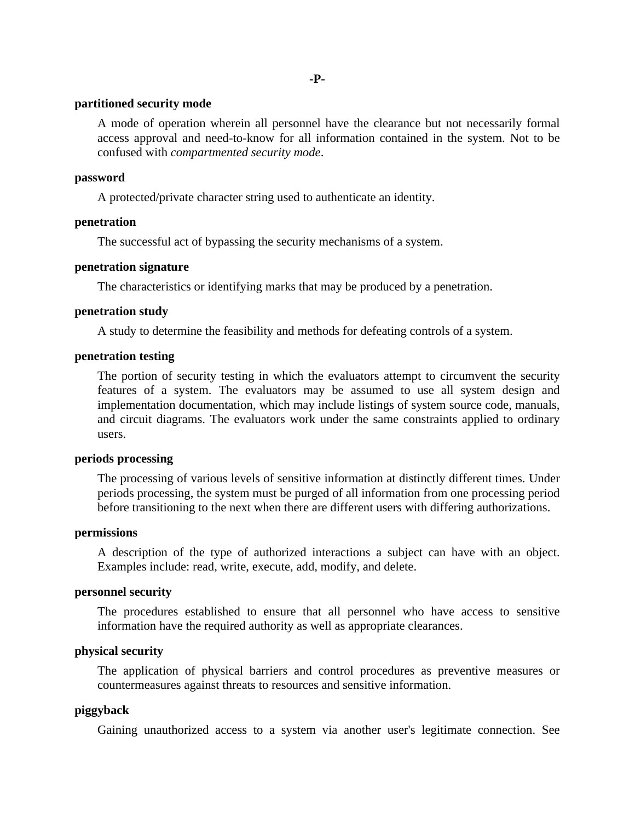#### **partitioned security mode**

A mode of operation wherein all personnel have the clearance but not necessarily formal access approval and need-to-know for all information contained in the system. Not to be confused with *compartmented security mode*.

#### **password**

A protected/private character string used to authenticate an identity.

### **penetration**

The successful act of bypassing the security mechanisms of a system.

#### **penetration signature**

The characteristics or identifying marks that may be produced by a penetration.

#### **penetration study**

A study to determine the feasibility and methods for defeating controls of a system.

### **penetration testing**

The portion of security testing in which the evaluators attempt to circumvent the security features of a system. The evaluators may be assumed to use all system design and implementation documentation, which may include listings of system source code, manuals, and circuit diagrams. The evaluators work under the same constraints applied to ordinary users.

#### **periods processing**

The processing of various levels of sensitive information at distinctly different times. Under periods processing, the system must be purged of all information from one processing period before transitioning to the next when there are different users with differing authorizations.

### **permissions**

A description of the type of authorized interactions a subject can have with an object. Examples include: read, write, execute, add, modify, and delete.

#### **personnel security**

The procedures established to ensure that all personnel who have access to sensitive information have the required authority as well as appropriate clearances.

## **physical security**

The application of physical barriers and control procedures as preventive measures or countermeasures against threats to resources and sensitive information.

## **piggyback**

Gaining unauthorized access to a system via another user's legitimate connection. See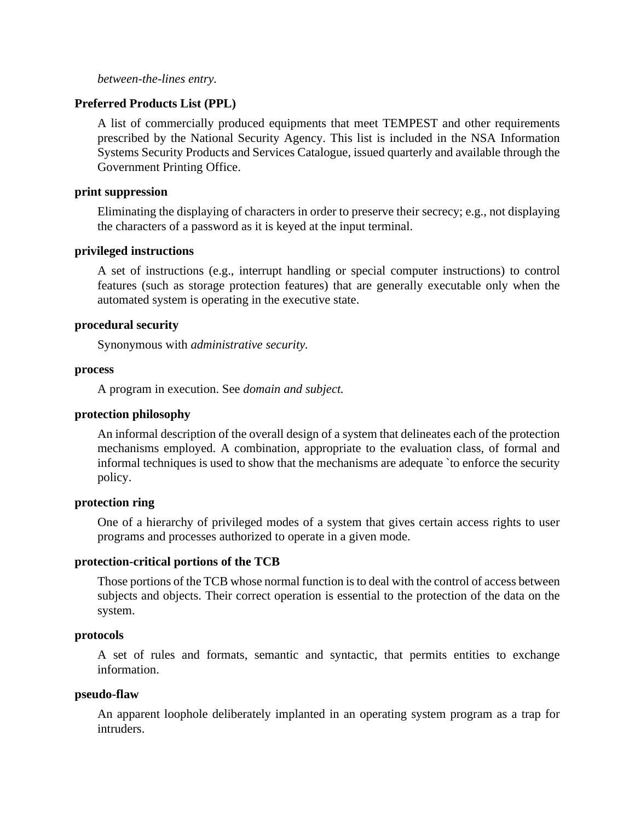### *between-the-lines entry.*

### **Preferred Products List (PPL)**

A list of commercially produced equipments that meet TEMPEST and other requirements prescribed by the National Security Agency. This list is included in the NSA Information Systems Security Products and Services Catalogue, issued quarterly and available through the Government Printing Office.

### **print suppression**

Eliminating the displaying of characters in order to preserve their secrecy; e.g., not displaying the characters of a password as it is keyed at the input terminal.

### **privileged instructions**

A set of instructions (e.g., interrupt handling or special computer instructions) to control features (such as storage protection features) that are generally executable only when the automated system is operating in the executive state.

## **procedural security**

Synonymous with *administrative security.*

#### **process**

A program in execution. See *domain and subject.*

### **protection philosophy**

An informal description of the overall design of a system that delineates each of the protection mechanisms employed. A combination, appropriate to the evaluation class, of formal and informal techniques is used to show that the mechanisms are adequate `to enforce the security policy.

## **protection ring**

One of a hierarchy of privileged modes of a system that gives certain access rights to user programs and processes authorized to operate in a given mode.

## **protection-critical portions of the TCB**

Those portions of the TCB whose normal function is to deal with the control of access between subjects and objects. Their correct operation is essential to the protection of the data on the system.

#### **protocols**

A set of rules and formats, semantic and syntactic, that permits entities to exchange information.

#### **pseudo-flaw**

An apparent loophole deliberately implanted in an operating system program as a trap for intruders.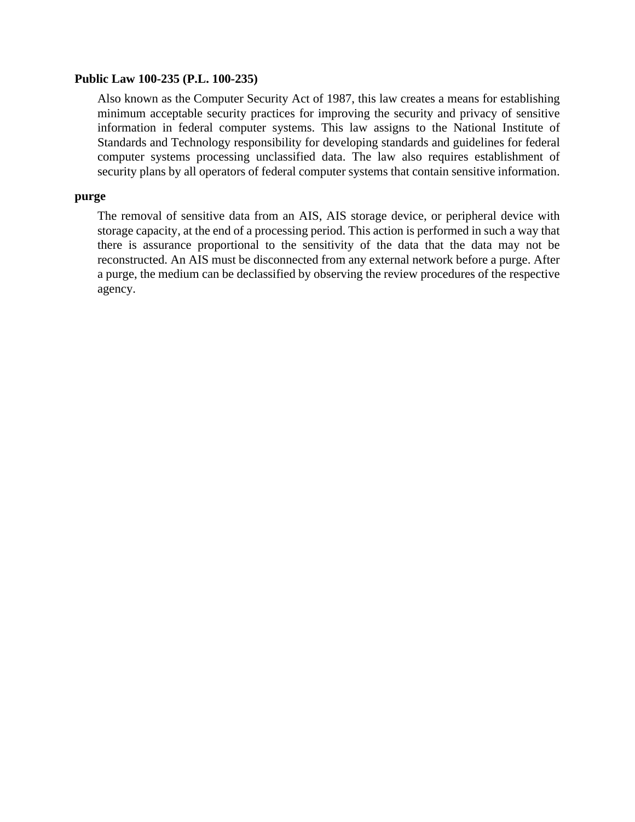## **Public Law 100-235 (P.L. 100-235)**

Also known as the Computer Security Act of 1987, this law creates a means for establishing minimum acceptable security practices for improving the security and privacy of sensitive information in federal computer systems. This law assigns to the National Institute of Standards and Technology responsibility for developing standards and guidelines for federal computer systems processing unclassified data. The law also requires establishment of security plans by all operators of federal computer systems that contain sensitive information.

## **purge**

The removal of sensitive data from an AIS, AIS storage device, or peripheral device with storage capacity, at the end of a processing period. This action is performed in such a way that there is assurance proportional to the sensitivity of the data that the data may not be reconstructed. An AIS must be disconnected from any external network before a purge. After a purge, the medium can be declassified by observing the review procedures of the respective agency.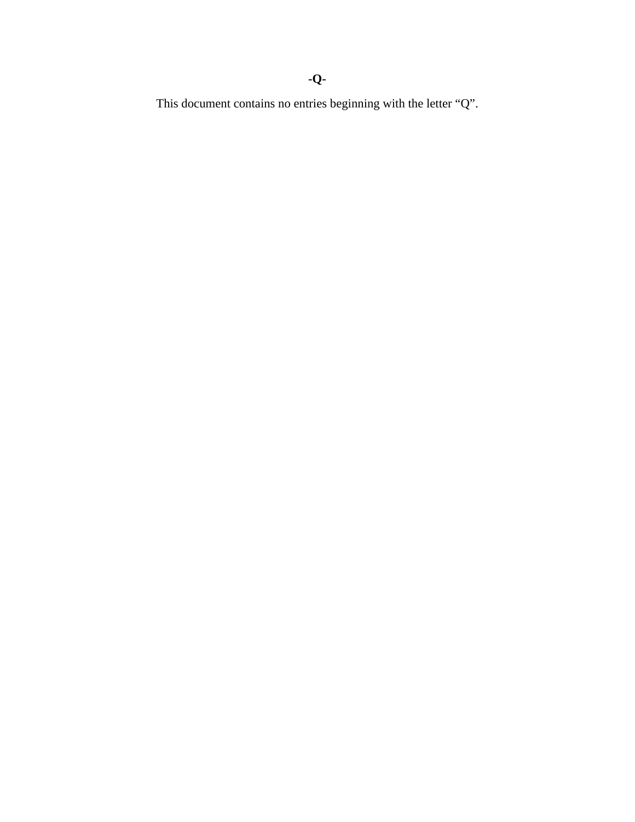This document contains no entries beginning with the letter "Q".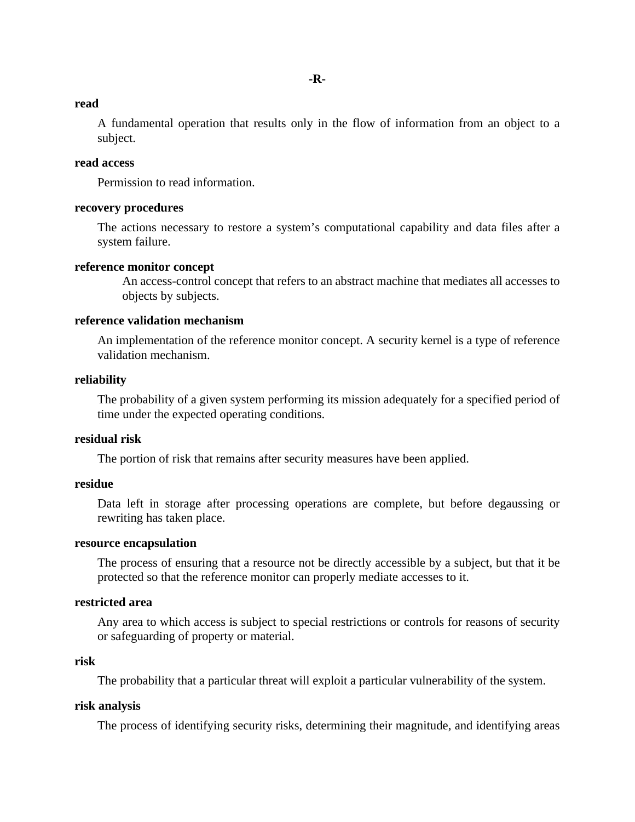#### **read**

A fundamental operation that results only in the flow of information from an object to a subject.

### **read access**

Permission to read information.

### **recovery procedures**

The actions necessary to restore a system's computational capability and data files after a system failure.

### **reference monitor concept**

An access-control concept that refers to an abstract machine that mediates all accesses to objects by subjects.

### **reference validation mechanism**

An implementation of the reference monitor concept. A security kernel is a type of reference validation mechanism.

### **reliability**

The probability of a given system performing its mission adequately for a specified period of time under the expected operating conditions.

### **residual risk**

The portion of risk that remains after security measures have been applied.

### **residue**

Data left in storage after processing operations are complete, but before degaussing or rewriting has taken place.

### **resource encapsulation**

The process of ensuring that a resource not be directly accessible by a subject, but that it be protected so that the reference monitor can properly mediate accesses to it.

### **restricted area**

Any area to which access is subject to special restrictions or controls for reasons of security or safeguarding of property or material.

## **risk**

The probability that a particular threat will exploit a particular vulnerability of the system.

## **risk analysis**

The process of identifying security risks, determining their magnitude, and identifying areas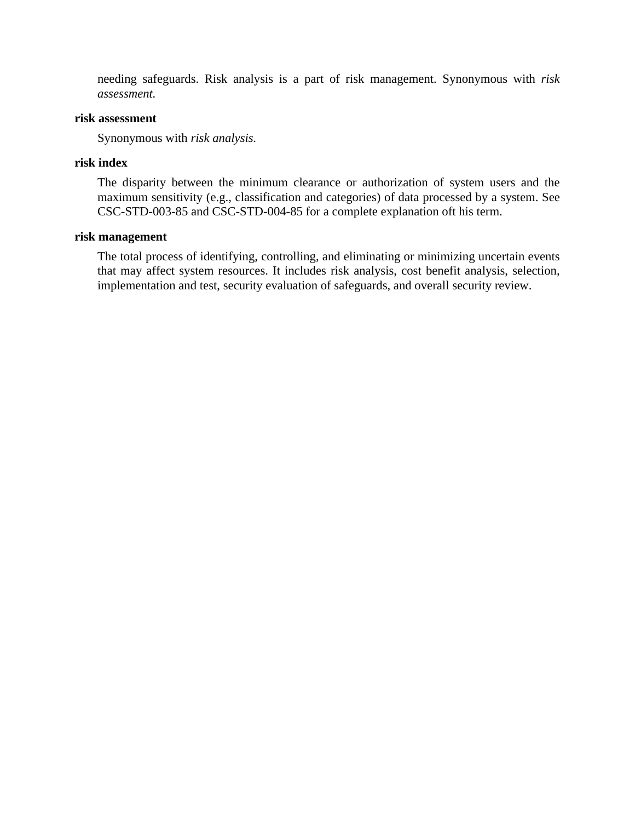needing safeguards. Risk analysis is a part of risk management. Synonymous with *risk assessment.*

### **risk assessment**

Synonymous with *risk analysis.*

## **risk index**

The disparity between the minimum clearance or authorization of system users and the maximum sensitivity (e.g., classification and categories) of data processed by a system. See CSC-STD-003-85 and CSC-STD-004-85 for a complete explanation oft his term.

## **risk management**

The total process of identifying, controlling, and eliminating or minimizing uncertain events that may affect system resources. It includes risk analysis, cost benefit analysis, selection, implementation and test, security evaluation of safeguards, and overall security review.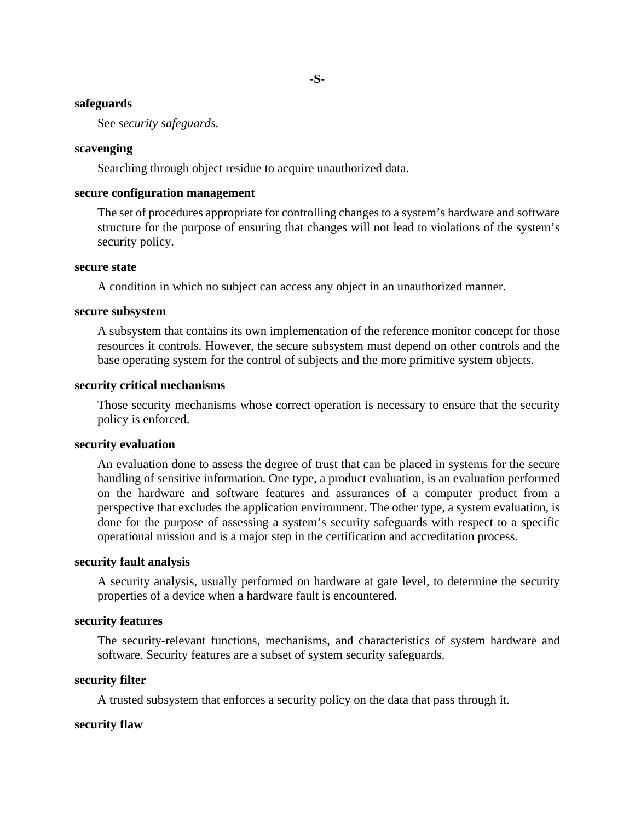#### **safeguards**

See *security safeguards.*

## **scavenging**

Searching through object residue to acquire unauthorized data.

### **secure configuration management**

The set of procedures appropriate for controlling changes to a system's hardware and software structure for the purpose of ensuring that changes will not lead to violations of the system's security policy.

#### **secure state**

A condition in which no subject can access any object in an unauthorized manner.

#### **secure subsystem**

A subsystem that contains its own implementation of the reference monitor concept for those resources it controls. However, the secure subsystem must depend on other controls and the base operating system for the control of subjects and the more primitive system objects.

### **security critical mechanisms**

Those security mechanisms whose correct operation is necessary to ensure that the security policy is enforced.

### **security evaluation**

An evaluation done to assess the degree of trust that can be placed in systems for the secure handling of sensitive information. One type, a product evaluation, is an evaluation performed on the hardware and software features and assurances of a computer product from a perspective that excludes the application environment. The other type, a system evaluation, is done for the purpose of assessing a system's security safeguards with respect to a specific operational mission and is a major step in the certification and accreditation process.

## **security fault analysis**

A security analysis, usually performed on hardware at gate level, to determine the security properties of a device when a hardware fault is encountered.

### **security features**

The security-relevant functions, mechanisms, and characteristics of system hardware and software. Security features are a subset of system security safeguards.

### **security filter**

A trusted subsystem that enforces a security policy on the data that pass through it.

### **security flaw**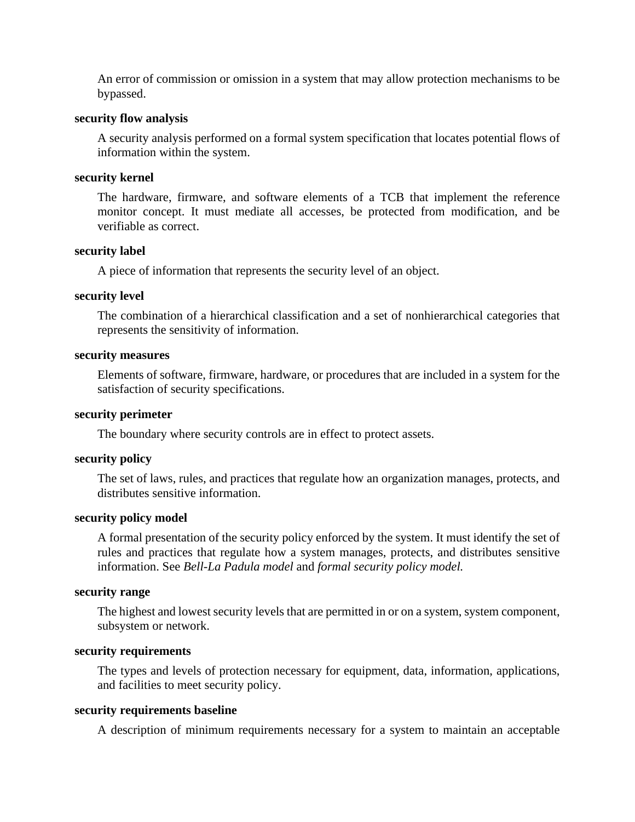An error of commission or omission in a system that may allow protection mechanisms to be bypassed.

#### **security flow analysis**

A security analysis performed on a formal system specification that locates potential flows of information within the system.

## **security kernel**

The hardware, firmware, and software elements of a TCB that implement the reference monitor concept. It must mediate all accesses, be protected from modification, and be verifiable as correct.

### **security label**

A piece of information that represents the security level of an object.

### **security level**

The combination of a hierarchical classification and a set of nonhierarchical categories that represents the sensitivity of information.

### **security measures**

Elements of software, firmware, hardware, or procedures that are included in a system for the satisfaction of security specifications.

#### **security perimeter**

The boundary where security controls are in effect to protect assets.

## **security policy**

The set of laws, rules, and practices that regulate how an organization manages, protects, and distributes sensitive information.

### **security policy model**

A formal presentation of the security policy enforced by the system. It must identify the set of rules and practices that regulate how a system manages, protects, and distributes sensitive information. See *Bell-La Padula model* and *formal security policy model.*

#### **security range**

The highest and lowest security levels that are permitted in or on a system, system component, subsystem or network.

## **security requirements**

The types and levels of protection necessary for equipment, data, information, applications, and facilities to meet security policy.

### **security requirements baseline**

A description of minimum requirements necessary for a system to maintain an acceptable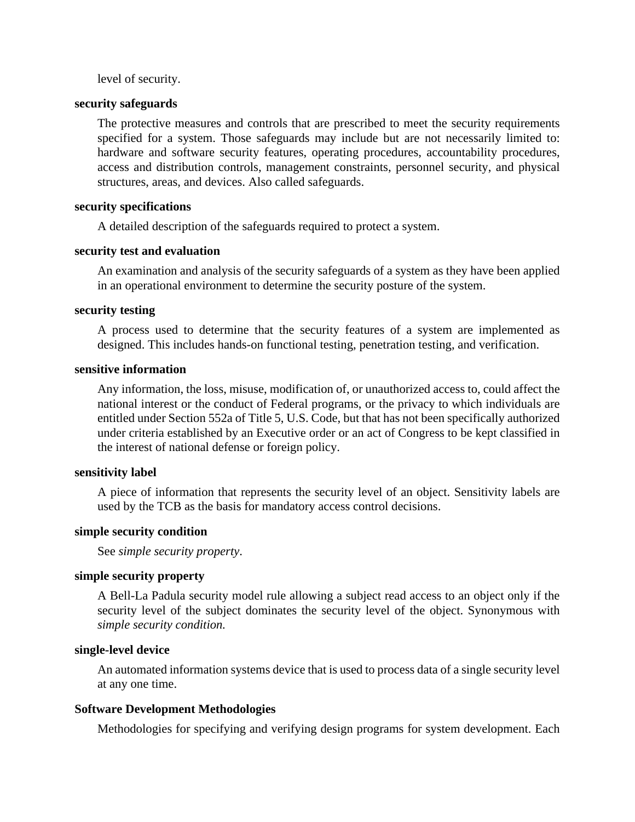level of security.

### **security safeguards**

The protective measures and controls that are prescribed to meet the security requirements specified for a system. Those safeguards may include but are not necessarily limited to: hardware and software security features, operating procedures, accountability procedures, access and distribution controls, management constraints, personnel security, and physical structures, areas, and devices. Also called safeguards.

## **security specifications**

A detailed description of the safeguards required to protect a system.

### **security test and evaluation**

An examination and analysis of the security safeguards of a system as they have been applied in an operational environment to determine the security posture of the system.

## **security testing**

A process used to determine that the security features of a system are implemented as designed. This includes hands-on functional testing, penetration testing, and verification.

### **sensitive information**

Any information, the loss, misuse, modification of, or unauthorized access to, could affect the national interest or the conduct of Federal programs, or the privacy to which individuals are entitled under Section 552a of Title 5, U.S. Code, but that has not been specifically authorized under criteria established by an Executive order or an act of Congress to be kept classified in the interest of national defense or foreign policy.

### **sensitivity label**

A piece of information that represents the security level of an object. Sensitivity labels are used by the TCB as the basis for mandatory access control decisions.

## **simple security condition**

See *simple security property*.

## **simple security property**

A Bell-La Padula security model rule allowing a subject read access to an object only if the security level of the subject dominates the security level of the object. Synonymous with *simple security condition.*

### **single-level device**

An automated information systems device that is used to process data of a single security level at any one time.

## **Software Development Methodologies**

Methodologies for specifying and verifying design programs for system development. Each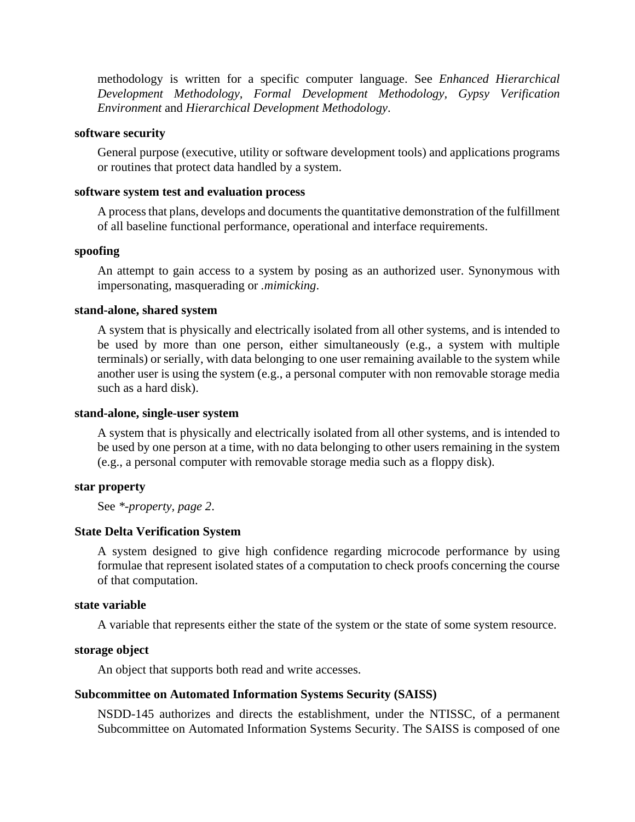methodology is written for a specific computer language. See *Enhanced Hierarchical Development Methodology, Formal Development Methodology, Gypsy Verification Environment* and *Hierarchical Development Methodology*.

### **software security**

General purpose (executive, utility or software development tools) and applications programs or routines that protect data handled by a system.

### **software system test and evaluation process**

A process that plans, develops and documents the quantitative demonstration of the fulfillment of all baseline functional performance, operational and interface requirements.

## **spoofing**

An attempt to gain access to a system by posing as an authorized user. Synonymous with impersonating, masquerading or *.mimicking*.

## **stand-alone, shared system**

A system that is physically and electrically isolated from all other systems, and is intended to be used by more than one person, either simultaneously (e.g., a system with multiple terminals) or serially, with data belonging to one user remaining available to the system while another user is using the system (e.g., a personal computer with non removable storage media such as a hard disk).

#### **stand-alone, single-user system**

A system that is physically and electrically isolated from all other systems, and is intended to be used by one person at a time, with no data belonging to other users remaining in the system (e.g., a personal computer with removable storage media such as a floppy disk).

## **star property**

See *\*-property, page 2*.

## **State Delta Verification System**

A system designed to give high confidence regarding microcode performance by using formulae that represent isolated states of a computation to check proofs concerning the course of that computation.

### **state variable**

A variable that represents either the state of the system or the state of some system resource.

## **storage object**

An object that supports both read and write accesses.

## **Subcommittee on Automated Information Systems Security (SAISS)**

NSDD-145 authorizes and directs the establishment, under the NTISSC, of a permanent Subcommittee on Automated Information Systems Security. The SAISS is composed of one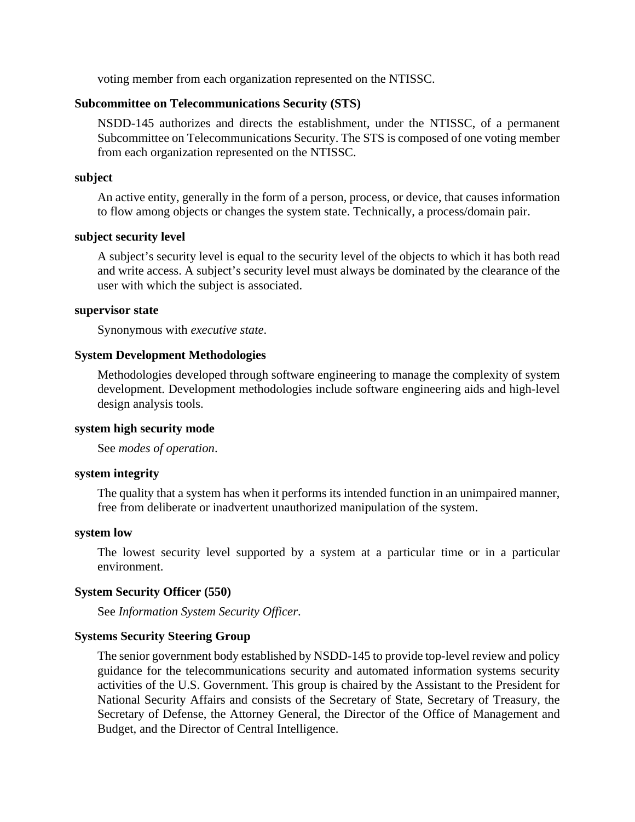voting member from each organization represented on the NTISSC.

### **Subcommittee on Telecommunications Security (STS)**

NSDD-145 authorizes and directs the establishment, under the NTISSC, of a permanent Subcommittee on Telecommunications Security. The STS is composed of one voting member from each organization represented on the NTISSC.

### **subject**

An active entity, generally in the form of a person, process, or device, that causes information to flow among objects or changes the system state. Technically, a process/domain pair.

### **subject security level**

A subject's security level is equal to the security level of the objects to which it has both read and write access. A subject's security level must always be dominated by the clearance of the user with which the subject is associated.

#### **supervisor state**

Synonymous with *executive state*.

## **System Development Methodologies**

Methodologies developed through software engineering to manage the complexity of system development. Development methodologies include software engineering aids and high-level design analysis tools.

### **system high security mode**

See *modes of operation*.

## **system integrity**

The quality that a system has when it performs its intended function in an unimpaired manner, free from deliberate or inadvertent unauthorized manipulation of the system.

### **system low**

The lowest security level supported by a system at a particular time or in a particular environment.

## **System Security Officer (550)**

See *Information System Security Officer*.

## **Systems Security Steering Group**

The senior government body established by NSDD-145 to provide top-level review and policy guidance for the telecommunications security and automated information systems security activities of the U.S. Government. This group is chaired by the Assistant to the President for National Security Affairs and consists of the Secretary of State, Secretary of Treasury, the Secretary of Defense, the Attorney General, the Director of the Office of Management and Budget, and the Director of Central Intelligence.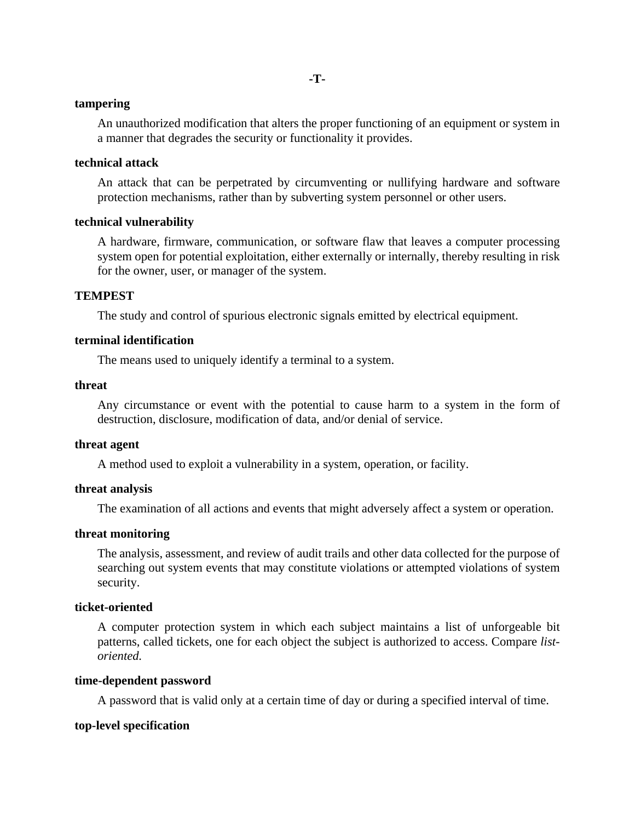#### **tampering**

An unauthorized modification that alters the proper functioning of an equipment or system in a manner that degrades the security or functionality it provides.

### **technical attack**

An attack that can be perpetrated by circumventing or nullifying hardware and software protection mechanisms, rather than by subverting system personnel or other users.

### **technical vulnerability**

A hardware, firmware, communication, or software flaw that leaves a computer processing system open for potential exploitation, either externally or internally, thereby resulting in risk for the owner, user, or manager of the system.

## **TEMPEST**

The study and control of spurious electronic signals emitted by electrical equipment.

## **terminal identification**

The means used to uniquely identify a terminal to a system.

### **threat**

Any circumstance or event with the potential to cause harm to a system in the form of destruction, disclosure, modification of data, and/or denial of service.

### **threat agent**

A method used to exploit a vulnerability in a system, operation, or facility.

## **threat analysis**

The examination of all actions and events that might adversely affect a system or operation.

## **threat monitoring**

The analysis, assessment, and review of audit trails and other data collected for the purpose of searching out system events that may constitute violations or attempted violations of system security.

## **ticket-oriented**

A computer protection system in which each subject maintains a list of unforgeable bit patterns, called tickets, one for each object the subject is authorized to access. Compare *listoriented.*

#### **time-dependent password**

A password that is valid only at a certain time of day or during a specified interval of time.

## **top-level specification**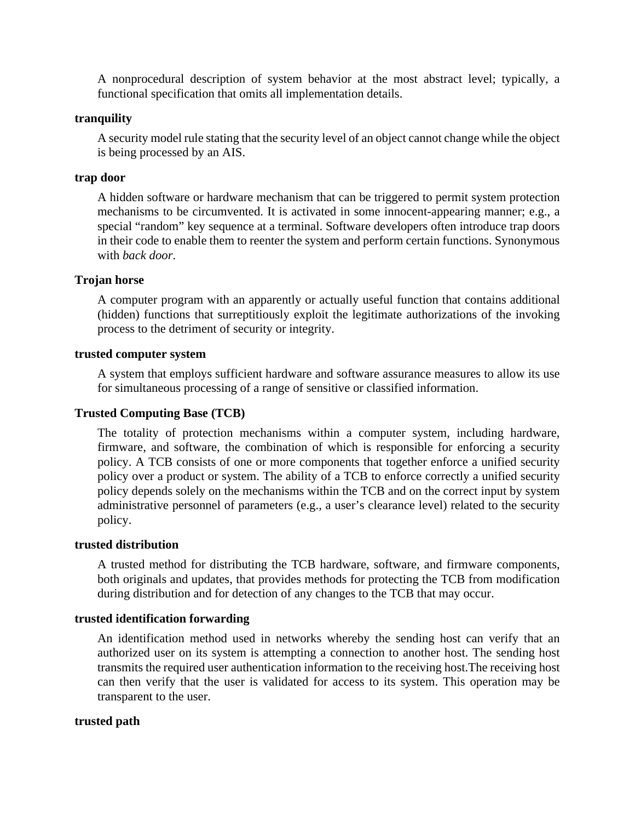A nonprocedural description of system behavior at the most abstract level; typically, a functional specification that omits all implementation details.

## **tranquility**

A security model rule stating that the security level of an object cannot change while the object is being processed by an AIS.

### **trap door**

A hidden software or hardware mechanism that can be triggered to permit system protection mechanisms to be circumvented. It is activated in some innocent-appearing manner; e.g., a special "random" key sequence at a terminal. Software developers often introduce trap doors in their code to enable them to reenter the system and perform certain functions. Synonymous with *back door*.

### **Trojan horse**

A computer program with an apparently or actually useful function that contains additional (hidden) functions that surreptitiously exploit the legitimate authorizations of the invoking process to the detriment of security or integrity.

## **trusted computer system**

A system that employs sufficient hardware and software assurance measures to allow its use for simultaneous processing of a range of sensitive or classified information.

### **Trusted Computing Base (TCB)**

The totality of protection mechanisms within a computer system, including hardware, firmware, and software, the combination of which is responsible for enforcing a security policy. A TCB consists of one or more components that together enforce a unified security policy over a product or system. The ability of a TCB to enforce correctly a unified security policy depends solely on the mechanisms within the TCB and on the correct input by system administrative personnel of parameters (e.g., a user's clearance level) related to the security policy.

### **trusted distribution**

A trusted method for distributing the TCB hardware, software, and firmware components, both originals and updates, that provides methods for protecting the TCB from modification during distribution and for detection of any changes to the TCB that may occur.

## **trusted identification forwarding**

An identification method used in networks whereby the sending host can verify that an authorized user on its system is attempting a connection to another host. The sending host transmits the required user authentication information to the receiving host.The receiving host can then verify that the user is validated for access to its system. This operation may be transparent to the user.

### **trusted path**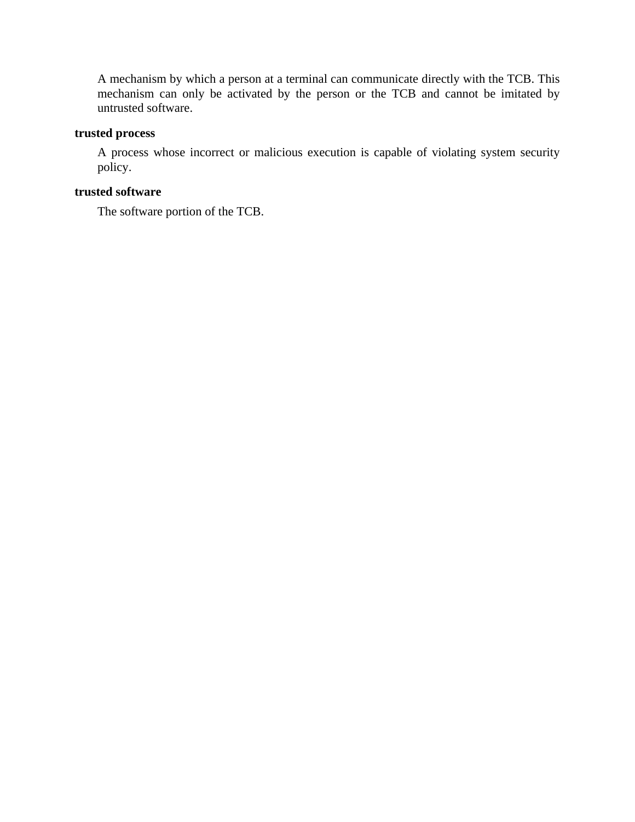A mechanism by which a person at a terminal can communicate directly with the TCB. This mechanism can only be activated by the person or the TCB and cannot be imitated by untrusted software.

## **trusted process**

A process whose incorrect or malicious execution is capable of violating system security policy.

# **trusted software**

The software portion of the TCB.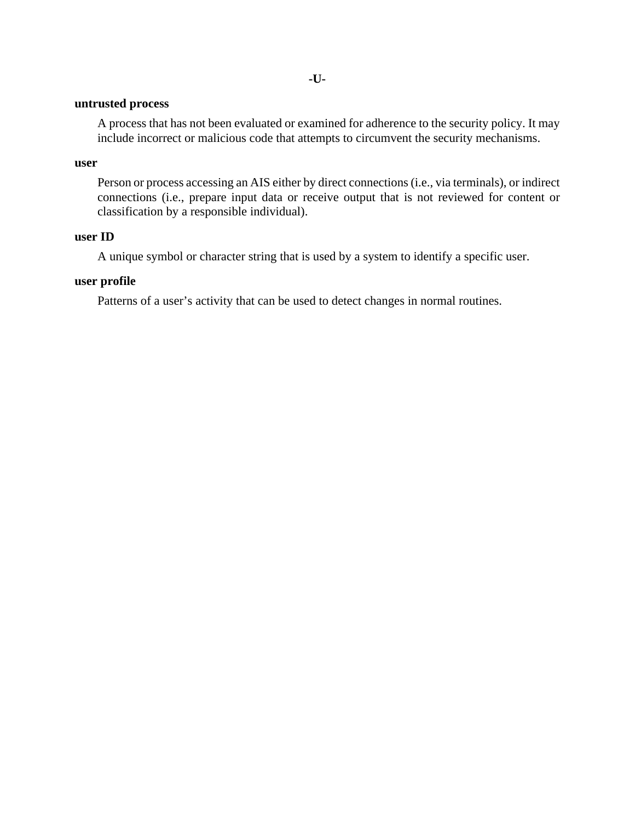**-U-**

### **untrusted process**

A process that has not been evaluated or examined for adherence to the security policy. It may include incorrect or malicious code that attempts to circumvent the security mechanisms.

#### **user**

Person or process accessing an AIS either by direct connections (i.e., via terminals), or indirect connections (i.e., prepare input data or receive output that is not reviewed for content or classification by a responsible individual).

## **user ID**

A unique symbol or character string that is used by a system to identify a specific user.

## **user profile**

Patterns of a user's activity that can be used to detect changes in normal routines.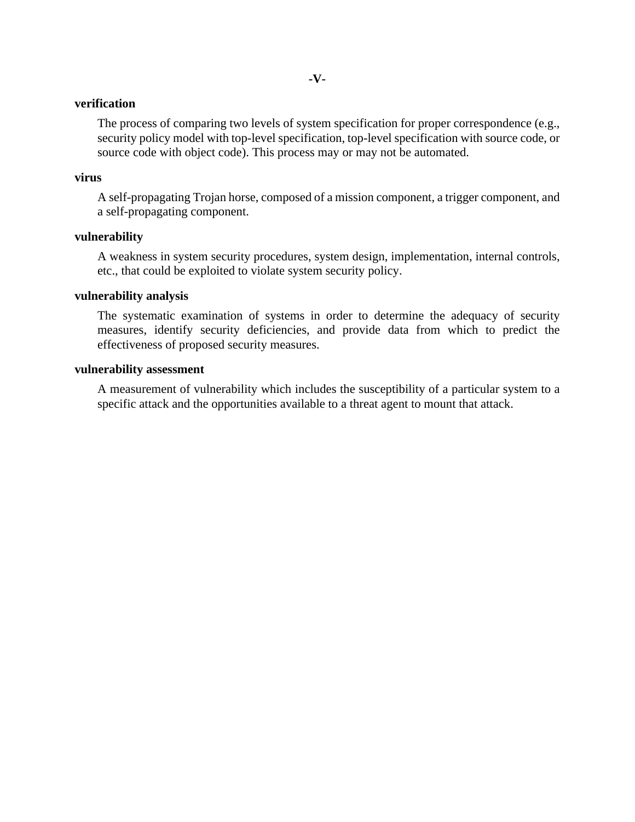## **verification**

The process of comparing two levels of system specification for proper correspondence (e.g., security policy model with top-level specification, top-level specification with source code, or source code with object code). This process may or may not be automated.

## **virus**

A self-propagating Trojan horse, composed of a mission component, a trigger component, and a self-propagating component.

## **vulnerability**

A weakness in system security procedures, system design, implementation, internal controls, etc., that could be exploited to violate system security policy.

## **vulnerability analysis**

The systematic examination of systems in order to determine the adequacy of security measures, identify security deficiencies, and provide data from which to predict the effectiveness of proposed security measures.

## **vulnerability assessment**

A measurement of vulnerability which includes the susceptibility of a particular system to a specific attack and the opportunities available to a threat agent to mount that attack.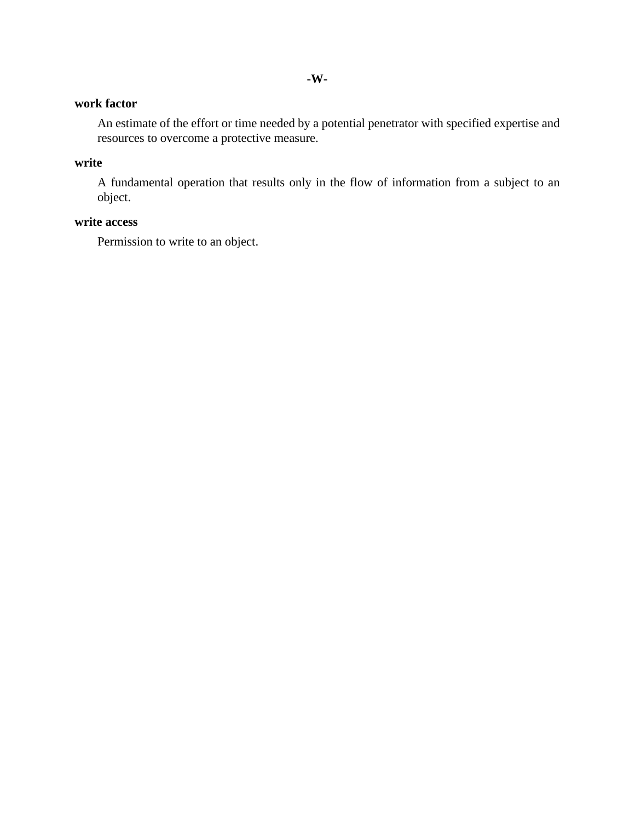## **work factor**

An estimate of the effort or time needed by a potential penetrator with specified expertise and resources to overcome a protective measure.

## **write**

A fundamental operation that results only in the flow of information from a subject to an object.

## **write access**

Permission to write to an object.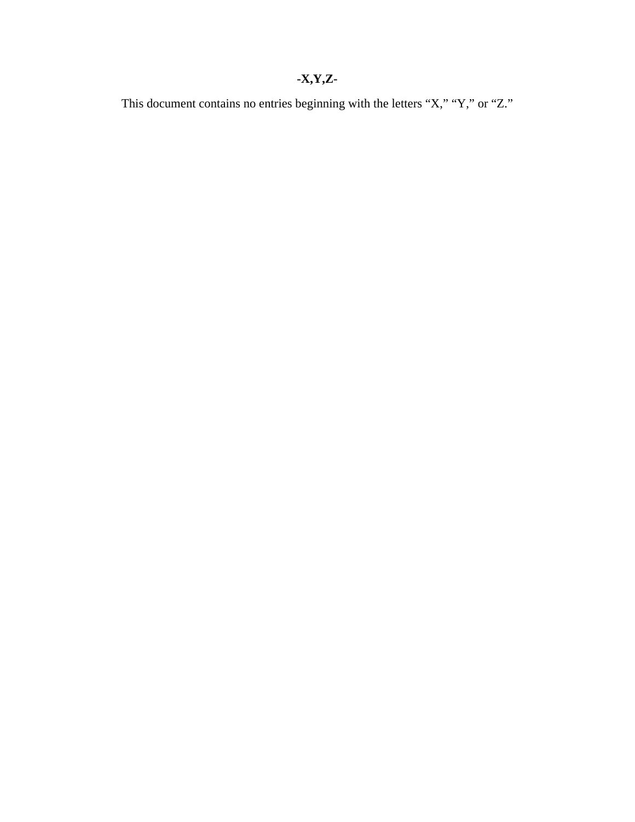This document contains no entries beginning with the letters "X," "Y," or "Z."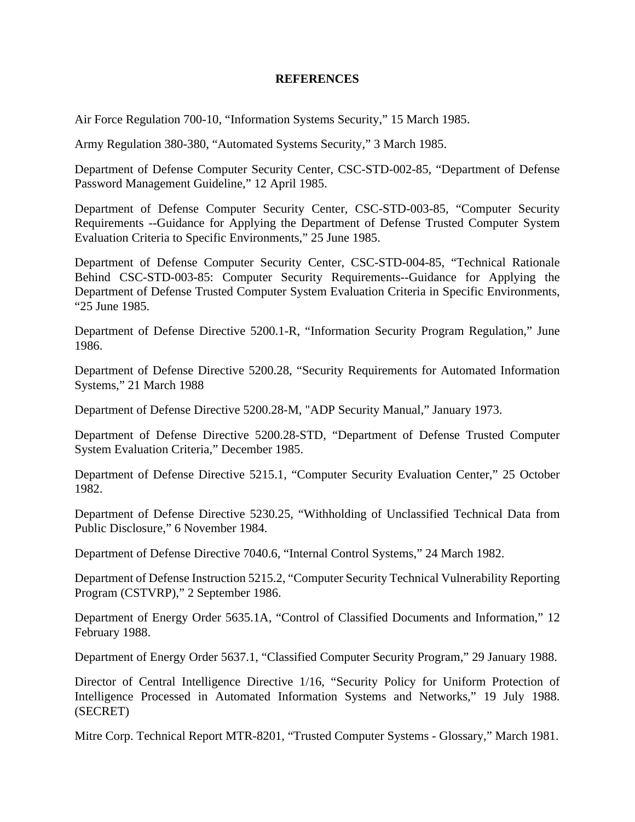## **REFERENCES**

Air Force Regulation 700-10, "Information Systems Security," 15 March 1985.

Army Regulation 380-380, "Automated Systems Security," 3 March 1985.

Department of Defense Computer Security Center, CSC-STD-002-85, "Department of Defense Password Management Guideline," 12 April 1985.

Department of Defense Computer Security Center, CSC-STD-003-85, "Computer Security Requirements --Guidance for Applying the Department of Defense Trusted Computer System Evaluation Criteria to Specific Environments," 25 June 1985.

Department of Defense Computer Security Center, CSC-STD-004-85, "Technical Rationale Behind CSC-STD-003-85: Computer Security Requirements--Guidance for Applying the Department of Defense Trusted Computer System Evaluation Criteria in Specific Environments, "25 June 1985.

Department of Defense Directive 5200.1-R, "Information Security Program Regulation," June 1986.

Department of Defense Directive 5200.28, "Security Requirements for Automated Information Systems," 21 March 1988

Department of Defense Directive 5200.28-M, "ADP Security Manual," January 1973.

Department of Defense Directive 5200.28-STD, "Department of Defense Trusted Computer System Evaluation Criteria," December 1985.

Department of Defense Directive 5215.1, "Computer Security Evaluation Center," 25 October 1982.

Department of Defense Directive 5230.25, "Withholding of Unclassified Technical Data from Public Disclosure," 6 November 1984.

Department of Defense Directive 7040.6, "Internal Control Systems," 24 March 1982.

Department of Defense Instruction 5215.2, "Computer Security Technical Vulnerability Reporting Program (CSTVRP)," 2 September 1986.

Department of Energy Order 5635.1A, "Control of Classified Documents and Information," 12 February 1988.

Department of Energy Order 5637.1, "Classified Computer Security Program," 29 January 1988.

Director of Central Intelligence Directive 1/16, "Security Policy for Uniform Protection of Intelligence Processed in Automated Information Systems and Networks," 19 July 1988. (SECRET)

Mitre Corp. Technical Report MTR-8201, "Trusted Computer Systems - Glossary," March 1981.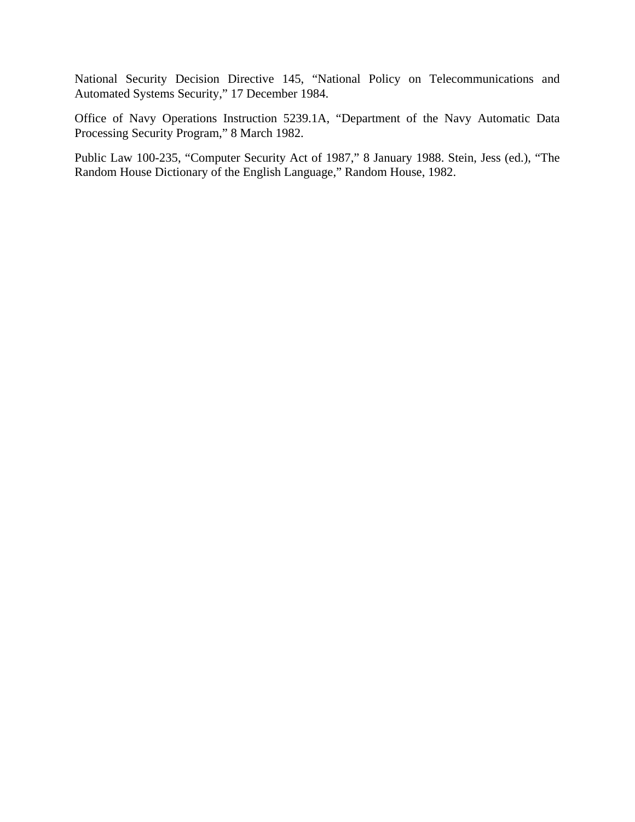National Security Decision Directive 145, "National Policy on Telecommunications and Automated Systems Security," 17 December 1984.

Office of Navy Operations Instruction 5239.1A, "Department of the Navy Automatic Data Processing Security Program," 8 March 1982.

Public Law 100-235, "Computer Security Act of 1987," 8 January 1988. Stein, Jess (ed.), "The Random House Dictionary of the English Language," Random House, 1982.